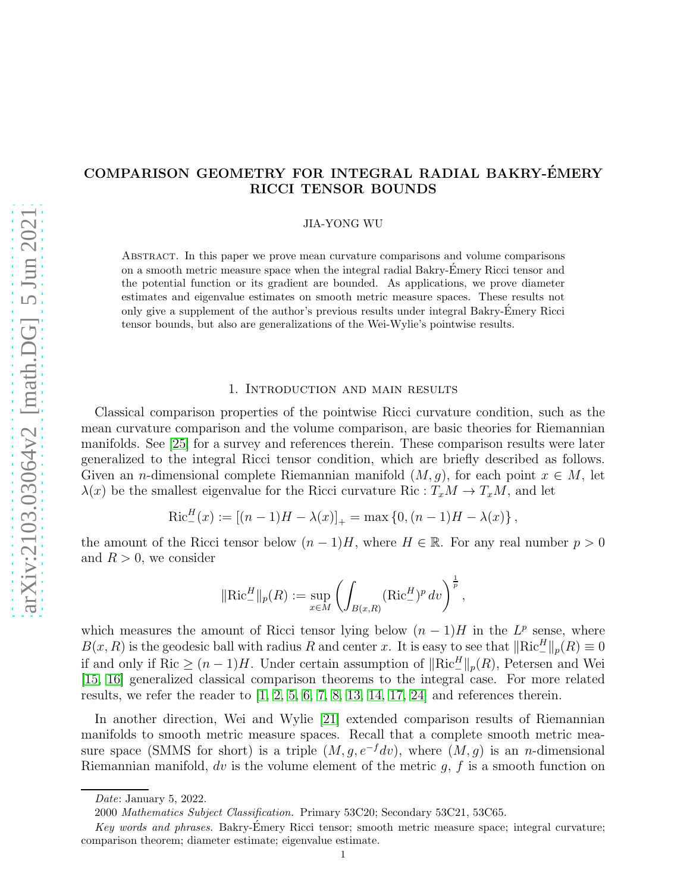# COMPARISON GEOMETRY FOR INTEGRAL RADIAL BAKRY-EMERY ´ RICCI TENSOR BOUNDS

JIA-YONG WU

Abstract. In this paper we prove mean curvature comparisons and volume comparisons on a smooth metric measure space when the integral radial Bakry-Emery Ricci tensor and ´ the potential function or its gradient are bounded. As applications, we prove diameter estimates and eigenvalue estimates on smooth metric measure spaces. These results not only give a supplement of the author's previous results under integral Bakry-Emery Ricci ´ tensor bounds, but also are generalizations of the Wei-Wylie's pointwise results.

## 1. Introduction and main results

Classical comparison properties of the pointwise Ricci curvature condition, such as the mean curvature comparison and the volume comparison, are basic theories for Riemannian manifolds. See [25] for a survey and references therein. These comparison results were later generalized to the integral Ricci tensor condition, which are briefly described as follows. Given an n-dimensional complete Riemannian manifold  $(M, g)$ , for each point  $x \in M$ , let  $\lambda(x)$  be the smallest eigenvalue for the Ricci curvature Ric :  $T_xM \to T_xM$ , and let

$$
Ric_{-}^{H}(x) := [(n-1)H - \lambda(x)]_{+} = \max\{0, (n-1)H - \lambda(x)\},
$$

the amount of the Ricci tensor below  $(n-1)H$ , where  $H \in \mathbb{R}$ . For any real number  $p > 0$ and  $R > 0$ , we consider

$$
\|\text{Ric}^H_-\|_p(R) := \sup_{x \in M} \left( \int_{B(x,R)} (\text{Ric}^H_-)^p \, dv \right)^{\frac{1}{p}},
$$

which measures the amount of Ricci tensor lying below  $(n-1)H$  in the  $L^p$  sense, where  $B(x, R)$  is the geodesic ball with radius R and center x. It is easy to see that  $\|\text{Ric}_-^H\|_p(R) \equiv 0$ if and only if Ric  $\geq (n-1)H$ . Under certain assumption of  $\|\text{Ric}_-^H\|_p(R)$ , Petersen and Wei [15, [16\]](#page-20-0) generalized classical comparison theorems to the integral case. For more related results, we refer the reader to  $\left[1, 2, 5, 6, 7, 8, 13, 14, 17, 24\right]$  $\left[1, 2, 5, 6, 7, 8, 13, 14, 17, 24\right]$  $\left[1, 2, 5, 6, 7, 8, 13, 14, 17, 24\right]$  and references therein.

In another direction, Wei and Wylie [21] extended comparison results of Riemannian manifolds to smooth metric measure spaces. Recall that a complete smooth metric measure space (SMMS for short) is a triple  $(M, g, e^{-f}dv)$ , where  $(M, g)$  is an n-dimensional Riemannian manifold, dv is the volume element of the metric  $q, f$  is a smooth function on

Date: January 5, 2022.

<sup>2000</sup> Mathematics Subject Classification. Primary 53C20; Secondary 53C21, 53C65.

Key words and phrases. Bakry-Emery Ricci tensor; smooth metric measure space; integral curvature; comparison theorem; diameter estimate; eigenvalue estimate.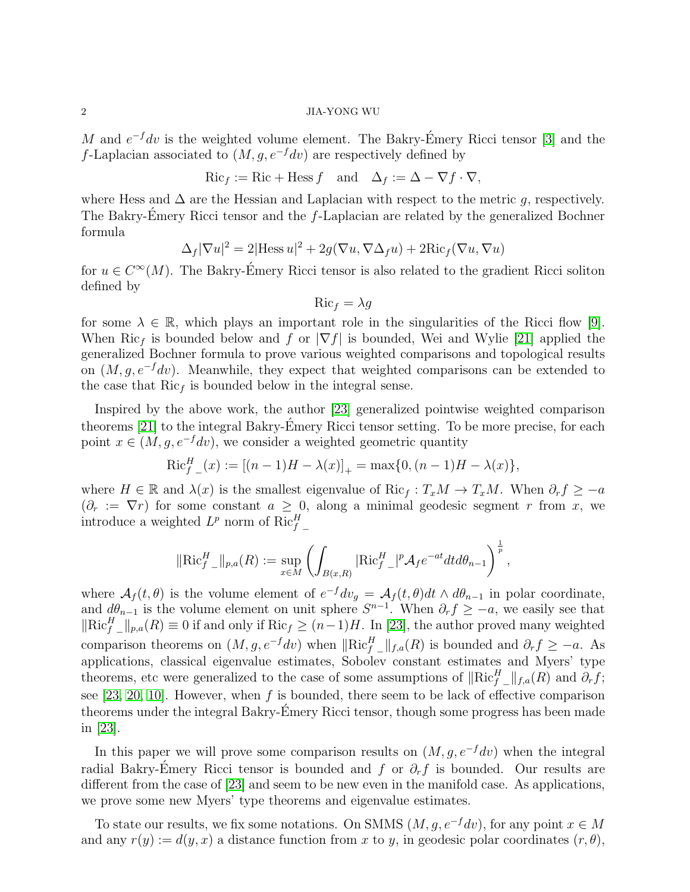M and  $e^{-f}dv$  is the weighted volume element. The Bakry-Émery Ricci tensor [3] and the f-Laplacian associated to  $(M, q, e^{-f}dv)$  are respectively defined by

$$
\operatorname{Ric}_{f} := \operatorname{Ric} + \operatorname{Hess} f \quad \text{and} \quad \Delta_{f} := \Delta - \nabla f \cdot \nabla,
$$

where Hess and  $\Delta$  are the Hessian and Laplacian with respect to the metric q, respectively. The Bakry-Émery Ricci tensor and the  $f$ -Laplacian are related by the generalized Bochner formula

$$
\Delta_f |\nabla u|^2 = 2|\text{Hess } u|^2 + 2g(\nabla u, \nabla \Delta_f u) + 2\text{Ric}_f(\nabla u, \nabla u)
$$

for  $u \in C^{\infty}(M)$ . The Bakry-Émery Ricci tensor is also related to the gradient Ricci soliton defined by

$$
\mathrm{Ric}_f = \lambda g
$$

for some  $\lambda \in \mathbb{R}$ , which plays an important role in the singularities of the Ricci flow [9]. When Ric<sub>f</sub> is bounded below and f or  $|\nabla f|$  is bounded, Wei and Wylie [21] applied the generalized Bochner formula to prove various weighted comparisons and topological results on  $(M, g, e^{-f}dv)$ . Meanwhile, they expect that weighted comparisons can be extended to the case that  $Ric<sub>f</sub>$  is bounded below in the integral sense.

Inspired by the above work, the author [23] generalized pointwise weighted comparison theorems [21] to the integral Bakry-Emery Ricci tensor setting. To be more precise, for each ´ point  $x \in (M, g, e^{-f}dv)$ , we consider a weighted geometric quantity

$$
\text{Ric}_{f}^{H}(x) := [(n-1)H - \lambda(x)]_{+} = \max\{0, (n-1)H - \lambda(x)\},
$$

where  $H \in \mathbb{R}$  and  $\lambda(x)$  is the smallest eigenvalue of Ric<sub>f</sub> :  $T_xM \to T_xM$ . When  $\partial_r f \geq -a$  $(\partial_r := \nabla r)$  for some constant  $a \geq 0$ , along a minimal geodesic segment r from x, we introduce a weighted  $L^p$  norm of  $Ric_{f-}^H$ 

$$
\|\text{Ric}_{f}^H\_\parallel_{p,a}(R) := \sup_{x \in M} \left( \int_{B(x,R)} |\text{Ric}_{f}^H\_\parallel|^p \mathcal{A}_f e^{-at} dt d\theta_{n-1} \right)^{\frac{1}{p}},
$$

where  $\mathcal{A}_f(t, \theta)$  is the volume element of  $e^{-f} dv_g = \mathcal{A}_f(t, \theta) dt \wedge d\theta_{n-1}$  in polar coordinate, and  $d\theta_{n-1}$  is the volume element on unit sphere  $S^{n-1}$ . When  $\partial_r f \ge -a$ , we easily see that  $\left\Vert \text{Ric}_{f}^{H} \right\Vert_{p,q}(R) \equiv 0$  if and only if  $\text{Ric}_{f} \geq (n-1)H$ . In [23], the author proved many weighted comparison theorems on  $(M, g, e^{-f}dv)$  when  $\|\text{Ric}_{f}^{H}\_ \|_{f,a}(R)$  is bounded and  $\partial_r f \ge -a$ . As applications, classical eigenvalue estimates, Sobolev constant estimates and Myers' type theorems, etc were generalized to the case of some assumptions of  $\|\text{Ric}_{f}^{H}\_ \|_{f,a}(R)$  and  $\partial_r f;$ see  $[23, 20, 10]$ . However, when f is bounded, there seem to be lack of effective comparison theorems under the integral Bakry-Emery Ricci tensor, though some progress has been made in [23].

In this paper we will prove some comparison results on  $(M, g, e^{-f}dv)$  when the integral radial Bakry-Émery Ricci tensor is bounded and f or  $\partial_r f$  is bounded. Our results are different from the case of [23] and seem to be new even in the manifold case. As applications, we prove some new Myers' type theorems and eigenvalue estimates.

To state our results, we fix some notations. On SMMS  $(M, q, e^{-f}dv)$ , for any point  $x \in M$ and any  $r(y) := d(y, x)$  a distance function from x to y, in geodesic polar coordinates  $(r, \theta)$ ,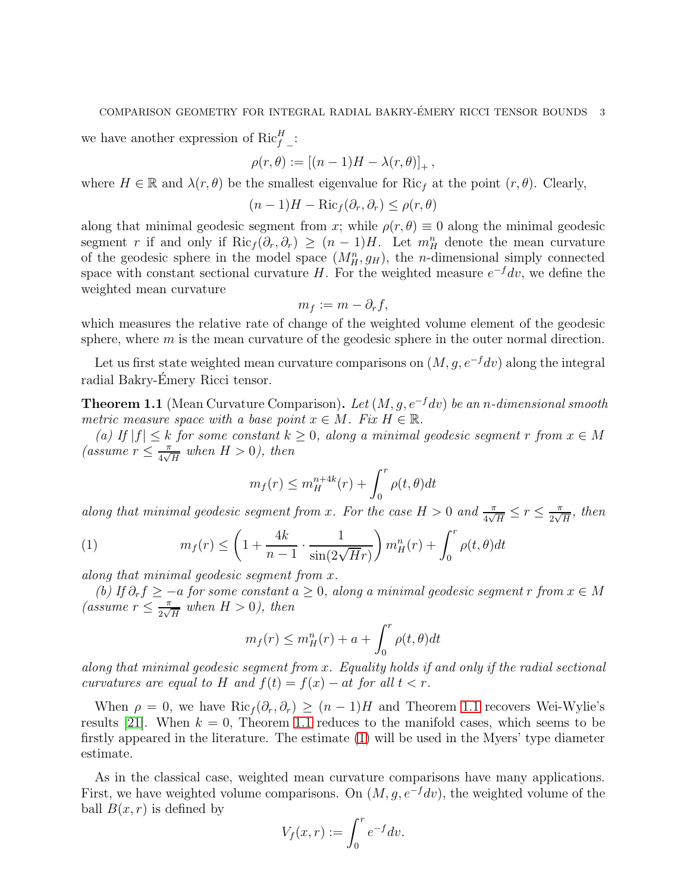we have another expression of  $\text{Ric}_{f}^{H}$  :

$$
\rho(r,\theta):=\left[(n-1)H-\lambda(r,\theta)\right]_+,
$$

where  $H \in \mathbb{R}$  and  $\lambda(r, \theta)$  be the smallest eigenvalue for Ric<sub>f</sub> at the point  $(r, \theta)$ . Clearly,

$$
(n-1)H - \text{Ric}_f(\partial_r, \partial_r) \le \rho(r, \theta)
$$

along that minimal geodesic segment from x; while  $\rho(r, \theta) \equiv 0$  along the minimal geodesic segment r if and only if  $\text{Ric}_f(\partial_r, \partial_r) \geq (n-1)H$ . Let  $m_H^n$  denote the mean curvature of the geodesic sphere in the model space  $(M_H^n, g_H)$ , the *n*-dimensional simply connected space with constant sectional curvature H. For the weighted measure  $e^{-f}dv$ , we define the weighted mean curvature

$$
m_f := m - \partial_r f,
$$

which measures the relative rate of change of the weighted volume element of the geodesic sphere, where  $m$  is the mean curvature of the geodesic sphere in the outer normal direction.

Let us first state weighted mean curvature comparisons on  $(M, g, e^{-f}dv)$  along the integral radial Bakry-Emery Ricci tensor. ´

<span id="page-2-0"></span>**Theorem 1.1** (Mean Curvature Comparison). Let  $(M, q, e^{-f}dv)$  be an n-dimensional smooth metric measure space with a base point  $x \in M$ . Fix  $H \in \mathbb{R}$ .

(a) If  $|f| \leq k$  for some constant  $k \geq 0$ , along a minimal geodesic segment r from  $x \in M$ (assume  $r \leq \frac{\pi}{4\sqrt{2}}$  $\frac{\pi}{4\sqrt{H}}$  when  $H > 0$ ), then

<span id="page-2-1"></span>
$$
m_f(r) \le m_H^{n+4k}(r) + \int_0^r \rho(t,\theta)dt
$$

along that minimal geodesic segment from x. For the case  $H > 0$  and  $\frac{\pi}{4\sqrt{H}} \le r \le \frac{\pi}{2\sqrt{2}}$  $\frac{\pi}{2\sqrt{H}}$ , then

(1) 
$$
m_f(r) \leq \left(1 + \frac{4k}{n-1} \cdot \frac{1}{\sin(2\sqrt{H}r)}\right) m_H^n(r) + \int_0^r \rho(t,\theta) dt
$$

along that minimal geodesic segment from x.

(b) If  $\partial_r f \ge -a$  for some constant  $a \ge 0$ , along a minimal geodesic segment r from  $x \in M$ (assume  $r \leq \frac{\pi}{2\sqrt{}}$  $\frac{\pi}{2\sqrt{H}}$  when  $H > 0$ ), then

$$
m_f(r) \le m_H^n(r) + a + \int_0^r \rho(t,\theta)dt
$$

along that minimal geodesic segment from x. Equality holds if and only if the radial sectional curvatures are equal to H and  $f(t) = f(x) - at$  for all  $t < r$ .

When  $\rho = 0$ , we have  $\text{Ric}_f(\partial_r, \partial_r) \geq (n-1)H$  and Theorem [1.1](#page-2-0) recovers Wei-Wylie's results [21]. When  $k = 0$ , Theorem [1.1](#page-2-0) reduces to the manifold cases, which seems to be firstly appeared in the literature. The estimate [\(1\)](#page-2-1) will be used in the Myers' type diameter estimate.

As in the classical case, weighted mean curvature comparisons have many applications. First, we have weighted volume comparisons. On  $(M, q, e^{-f}dv)$ , the weighted volume of the ball  $B(x, r)$  is defined by

$$
V_f(x,r) := \int_0^r e^{-f} dv.
$$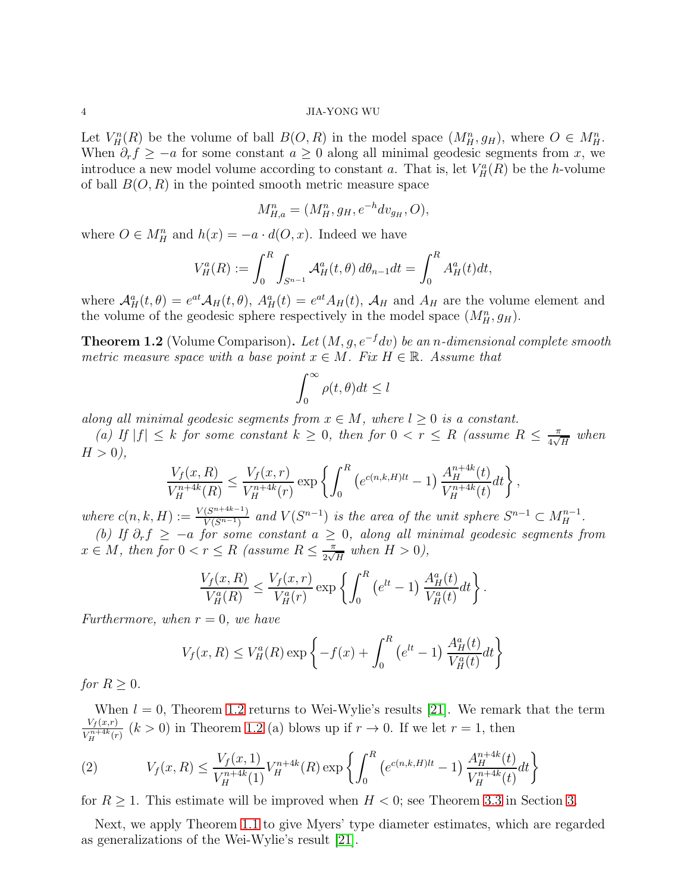Let  $V_H^n(R)$  be the volume of ball  $B(O, R)$  in the model space  $(M_H^n, g_H)$ , where  $O \in M_H^n$ . When  $\partial_r f \geq -a$  for some constant  $a \geq 0$  along all minimal geodesic segments from x, we introduce a new model volume according to constant a. That is, let  $V^a_H(R)$  be the h-volume of ball  $B(O, R)$  in the pointed smooth metric measure space

$$
M_{H,a}^n = (M_H^n, g_H, e^{-h} dv_{g_H}, O),
$$

where  $O \in M_H^n$  and  $h(x) = -a \cdot d(O, x)$ . Indeed we have

$$
V_H^a(R) := \int_0^R \int_{S^{n-1}} \mathcal{A}_H^a(t, \theta) \, d\theta_{n-1} dt = \int_0^R A_H^a(t) dt,
$$

where  $\mathcal{A}^a_H(t, \theta) = e^{at} \mathcal{A}_H(t, \theta)$ ,  $A^a_H(t) = e^{at} A_H(t)$ ,  $\mathcal{A}_H$  and  $A_H$  are the volume element and the volume of the geodesic sphere respectively in the model space  $(M_H^n, g_H)$ .

<span id="page-3-0"></span>**Theorem 1.2** (Volume Comparison). Let  $(M, g, e^{-f}dv)$  be an n-dimensional complete smooth metric measure space with a base point  $x \in M$ . Fix  $H \in \mathbb{R}$ . Assume that

$$
\int_0^\infty \rho(t,\theta)dt \le l
$$

along all minimal geodesic segments from  $x \in M$ , where  $l \geq 0$  is a constant.

(a) If  $|f| \leq k$  for some constant  $k \geq 0$ , then for  $0 < r \leq R$  (assume  $R \leq \frac{\pi}{4\sqrt{k}}$  $\frac{\pi}{4\sqrt{H}}$  when  $H > 0$ ),

$$
\frac{V_f(x, R)}{V_H^{n+4k}(R)} \le \frac{V_f(x, r)}{V_H^{n+4k}(r)} \exp\left\{ \int_0^R \left( e^{c(n,k,H)lt} - 1 \right) \frac{A_H^{n+4k}(t)}{V_H^{n+4k}(t)} dt \right\},
$$

where  $c(n, k, H) := \frac{V(S^{n+4k-1})}{V(S^{n-1})}$  $\frac{(S^{n+4k-1})}{V(S^{n-1})}$  and  $V(S^{n-1})$  is the area of the unit sphere  $S^{n-1} \subset M_H^{n-1}$ .

(b) If  $\partial_r f \ge -a$  for some constant  $a \ge 0$ , along all minimal geodesic segments from  $x \in M$ , then for  $0 < r \leq R$  (assume  $R \leq \frac{\pi}{2\sqrt{2}}$  $\frac{\pi}{2\sqrt{H}}$  when  $H > 0$ ),

$$
\frac{V_f(x, R)}{V_H^a(R)} \le \frac{V_f(x, r)}{V_H^a(r)} \exp \left\{ \int_0^R (e^{lt} - 1) \frac{A_H^a(t)}{V_H^a(t)} dt \right\}.
$$

Furthermore, when  $r = 0$ , we have

$$
V_f(x, R) \le V_H^a(R) \exp \left\{-f(x) + \int_0^R (e^{lt} - 1) \frac{A_H^a(t)}{V_H^a(t)} dt\right\}
$$

for  $R \geq 0$ .

When  $l = 0$ , Theorem [1.2](#page-3-0) returns to Wei-Wylie's results [21]. We remark that the term  $V_f(x,r)$  $\frac{V_f(x,r)}{V_H^{n+4k}(r)}$   $(k > 0)$  in Theorem [1.2](#page-3-0) (a) blows up if  $r \to 0$ . If we let  $r = 1$ , then

<span id="page-3-1"></span>(2) 
$$
V_f(x,R) \le \frac{V_f(x,1)}{V_H^{n+4k}(1)} V_H^{n+4k}(R) \exp \left\{ \int_0^R \left( e^{c(n,k,H)lt} - 1 \right) \frac{A_H^{n+4k}(t)}{V_H^{n+4k}(t)} dt \right\}
$$

for  $R \geq 1$ . This estimate will be improved when  $H < 0$ ; see Theorem [3.3](#page-12-0) in Section [3.](#page-8-0)

Next, we apply Theorem [1.1](#page-2-0) to give Myers' type diameter estimates, which are regarded as generalizations of the Wei-Wylie's result [21].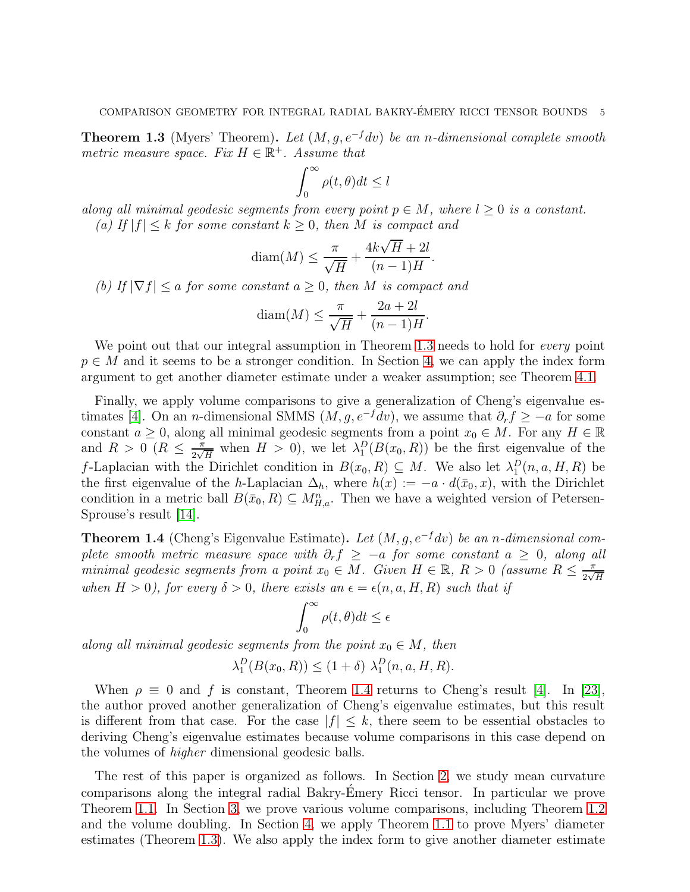<span id="page-4-0"></span>**Theorem 1.3** (Myers' Theorem). Let  $(M, q, e^{-f}dv)$  be an n-dimensional complete smooth metric measure space. Fix  $H \in \mathbb{R}^+$ . Assume that

$$
\int_0^\infty \rho(t,\theta)dt \le l
$$

along all minimal geodesic segments from every point  $p \in M$ , where  $l \geq 0$  is a constant. (a) If  $|f| \leq k$  for some constant  $k \geq 0$ , then M is compact and

$$
diam(M) \le \frac{\pi}{\sqrt{H}} + \frac{4k\sqrt{H} + 2l}{(n-1)H}.
$$

(b) If  $|\nabla f| \le a$  for some constant  $a \ge 0$ , then M is compact and

$$
\text{diam}(M) \le \frac{\pi}{\sqrt{H}} + \frac{2a + 2l}{(n-1)H}.
$$

We point out that our integral assumption in Theorem [1.3](#page-4-0) needs to hold for *every* point  $p \in M$  and it seems to be a stronger condition. In Section [4,](#page-14-0) we can apply the index form argument to get another diameter estimate under a weaker assumption; see Theorem [4.1.](#page-15-0)

Finally, we apply volume comparisons to give a generalization of Cheng's eigenvalue estimates [4]. On an *n*-dimensional SMMS  $(M, g, e^{-f}dv)$ , we assume that  $\partial_r f \geq -a$  for some constant  $a \geq 0$ , along all minimal geodesic segments from a point  $x_0 \in M$ . For any  $H \in \mathbb{R}$ and  $R > 0$  ( $R \leq \frac{\pi}{2\sqrt{}}$  $\frac{\pi}{2\sqrt{H}}$  when  $H > 0$ , we let  $\lambda_1^D(B(x_0, R))$  be the first eigenvalue of the f-Laplacian with the Dirichlet condition in  $B(x_0, R) \subseteq M$ . We also let  $\lambda_1^D(n, a, H, R)$  be the first eigenvalue of the h-Laplacian  $\Delta_h$ , where  $h(x) := -a \cdot d(\bar{x}_0, x)$ , with the Dirichlet condition in a metric ball  $B(\bar{x}_0, R) \subseteq M_{H,a}^n$ . Then we have a weighted version of Petersen-Sprouse's result [14].

<span id="page-4-1"></span>**Theorem 1.4** (Cheng's Eigenvalue Estimate). Let  $(M, g, e^{-f}dv)$  be an n-dimensional complete smooth metric measure space with  $\partial_r f \ge -a$  for some constant  $a \ge 0$ , along all minimal geodesic segments from a point  $x_0 \in M$ . Given  $H \in \mathbb{R}$ ,  $R > 0$  (assume  $R \leq \frac{\pi}{2\sqrt{M}}$  $2\sqrt{H}$ when  $H > 0$ ), for every  $\delta > 0$ , there exists an  $\epsilon = \epsilon(n, a, H, R)$  such that if

$$
\int_0^\infty \rho(t,\theta)dt \le \epsilon
$$

along all minimal geodesic segments from the point  $x_0 \in M$ , then

$$
\lambda_1^D(B(x_0, R)) \le (1 + \delta) \lambda_1^D(n, a, H, R).
$$

When  $\rho \equiv 0$  and f is constant, Theorem [1.4](#page-4-1) returns to Cheng's result [4]. In [23], the author proved another generalization of Cheng's eigenvalue estimates, but this result is different from that case. For the case  $|f| \leq k$ , there seem to be essential obstacles to deriving Cheng's eigenvalue estimates because volume comparisons in this case depend on the volumes of higher dimensional geodesic balls.

The rest of this paper is organized as follows. In Section [2,](#page-5-0) we study mean curvature comparisons along the integral radial Bakry-Emery Ricci tensor. In particular we prove ´ Theorem [1.1.](#page-2-0) In Section [3,](#page-8-0) we prove various volume comparisons, including Theorem [1.2](#page-3-0) and the volume doubling. In Section [4,](#page-14-0) we apply Theorem [1.1](#page-2-0) to prove Myers' diameter estimates (Theorem [1.3\)](#page-4-0). We also apply the index form to give another diameter estimate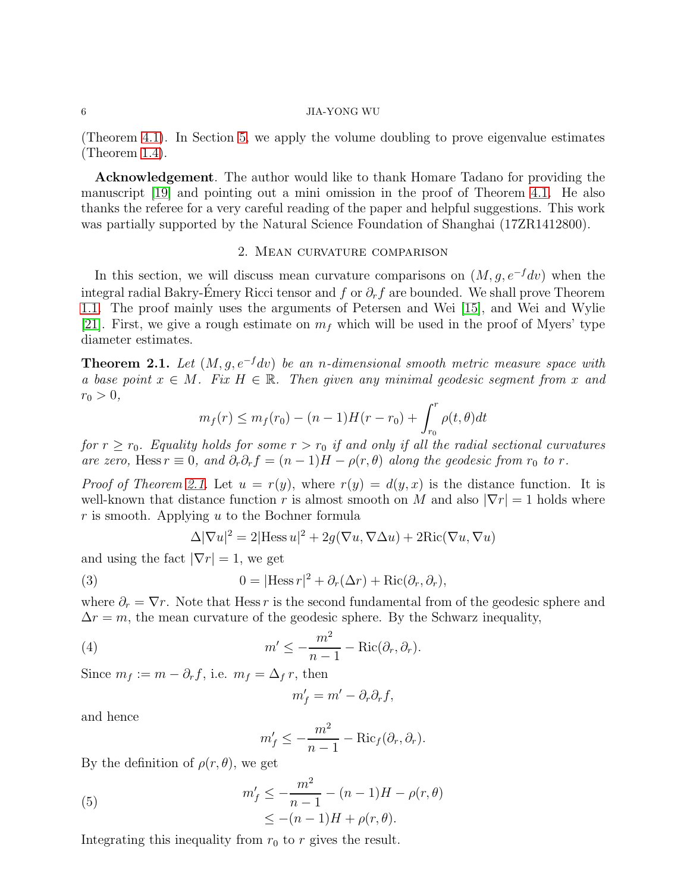(Theorem [4.1\)](#page-15-0). In Section [5,](#page-18-0) we apply the volume doubling to prove eigenvalue estimates (Theorem [1.4\)](#page-4-1).

Acknowledgement. The author would like to thank Homare Tadano for providing the manuscript [\[19\]](#page-20-2) and pointing out a mini omission in the proof of Theorem [4.1.](#page-15-0) He also thanks the referee for a very careful reading of the paper and helpful suggestions. This work was partially supported by the Natural Science Foundation of Shanghai (17ZR1412800).

## 2. Mean curvature comparison

<span id="page-5-0"></span>In this section, we will discuss mean curvature comparisons on  $(M, q, e^{-f}dv)$  when the integral radial Bakry-Emery Ricci tensor and f or  $\partial_r f$  are bounded. We shall prove Theorem [1.1.](#page-2-0) The proof mainly uses the arguments of Petersen and Wei [15], and Wei and Wylie [21]. First, we give a rough estimate on  $m<sub>f</sub>$  which will be used in the proof of Myers' type diameter estimates.

<span id="page-5-1"></span>**Theorem 2.1.** Let  $(M, g, e^{-f}dv)$  be an n-dimensional smooth metric measure space with a base point  $x \in M$ . Fix  $H \in \mathbb{R}$ . Then given any minimal geodesic segment from x and  $r_0 > 0,$ 

$$
m_f(r) \leq m_f(r_0) - (n-1)H(r-r_0) + \int_{r_0}^r \rho(t,\theta)dt
$$

for  $r \ge r_0$ . Equality holds for some  $r > r_0$  if and only if all the radial sectional curvatures are zero, Hess  $r \equiv 0$ , and  $\partial_r \partial_r f = (n-1)H - \rho(r,\theta)$  along the geodesic from  $r_0$  to r.

*Proof of Theorem [2.1.](#page-5-1)* Let  $u = r(y)$ , where  $r(y) = d(y, x)$  is the distance function. It is well-known that distance function r is almost smooth on M and also  $|\nabla r| = 1$  holds where  $r$  is smooth. Applying  $u$  to the Bochner formula

<span id="page-5-3"></span>
$$
\Delta |\nabla u|^2 = 2|\text{Hess }u|^2 + 2g(\nabla u, \nabla \Delta u) + 2\text{Ric}(\nabla u, \nabla u)
$$

and using the fact  $|\nabla r| = 1$ , we get

(3) 
$$
0 = |\text{Hess } r|^2 + \partial_r(\Delta r) + \text{Ric}(\partial_r, \partial_r),
$$

where  $\partial_r = \nabla r$ . Note that Hess r is the second fundamental from of the geodesic sphere and  $\Delta r = m$ , the mean curvature of the geodesic sphere. By the Schwarz inequality,

(4) 
$$
m' \leq -\frac{m^2}{n-1} - \text{Ric}(\partial_r, \partial_r).
$$

Since  $m_f := m - \partial_r f$ , i.e.  $m_f = \Delta_f r$ , then

<span id="page-5-4"></span>
$$
m'_f = m' - \partial_r \partial_r f,
$$

and hence

<span id="page-5-2"></span>
$$
m'_f \le -\frac{m^2}{n-1} - \text{Ric}_f(\partial_r, \partial_r).
$$

By the definition of  $\rho(r, \theta)$ , we get

(5) 
$$
m'_f \le -\frac{m^2}{n-1} - (n-1)H - \rho(r,\theta) \le -(n-1)H + \rho(r,\theta).
$$

Integrating this inequality from  $r_0$  to r gives the result.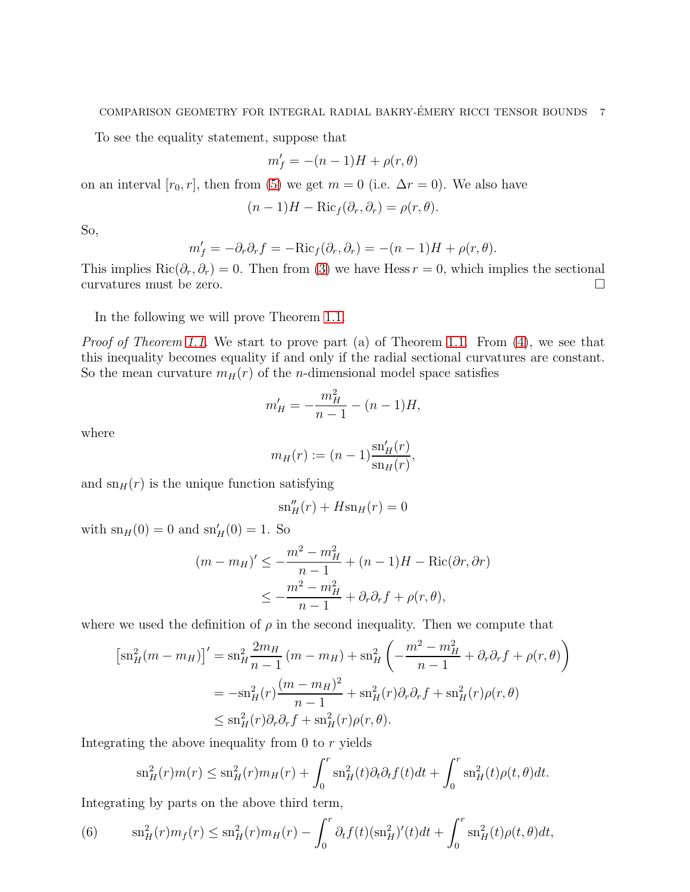To see the equality statement, suppose that

$$
m'_f = -(n-1)H + \rho(r, \theta)
$$

on an interval  $[r_0, r]$ , then from [\(5\)](#page-5-2) we get  $m = 0$  (i.e.  $\Delta r = 0$ ). We also have

$$
(n-1)H - \text{Ric}_f(\partial_r, \partial_r) = \rho(r, \theta).
$$

So,

$$
m'_f = -\partial_r \partial_r f = -\text{Ric}_f(\partial_r, \partial_r) = -(n-1)H + \rho(r, \theta).
$$

This implies  $\text{Ric}(\partial_r, \partial_r) = 0$ . Then from [\(3\)](#page-5-3) we have Hess  $r = 0$ , which implies the sectional curvatures must be zero.

In the following we will prove Theorem [1.1.](#page-2-0)

Proof of Theorem [1.1.](#page-2-0) We start to prove part (a) of Theorem 1.1. From [\(4\)](#page-5-4), we see that this inequality becomes equality if and only if the radial sectional curvatures are constant. So the mean curvature  $m_H(r)$  of the *n*-dimensional model space satisfies

$$
m'_H = -\frac{m_H^2}{n-1} - (n-1)H,
$$

where

$$
m_H(r) := (n-1) \frac{\text{sn}'_H(r)}{\text{sn}_H(r)},
$$

and  $\text{sn}_H(r)$  is the unique function satisfying

$$
\mathrm{sn}''_H(r) + H\mathrm{sn}_H(r) = 0
$$

with  $\text{sn}_H(0) = 0$  and  $\text{sn}'_H(0) = 1$ . So

$$
(m - m_H)' \le -\frac{m^2 - m_H^2}{n - 1} + (n - 1)H - \text{Ric}(\partial r, \partial r)
$$
  

$$
\le -\frac{m^2 - m_H^2}{n - 1} + \partial_r \partial_r f + \rho(r, \theta),
$$

where we used the definition of  $\rho$  in the second inequality. Then we compute that

$$
[\text{sn}_{H}^{2}(m - m_{H})]' = \text{sn}_{H}^{2} \frac{2m_{H}}{n-1} (m - m_{H}) + \text{sn}_{H}^{2} \left( -\frac{m^{2} - m_{H}^{2}}{n-1} + \partial_{r} \partial_{r} f + \rho(r, \theta) \right)
$$
  
=  $-\text{sn}_{H}^{2}(r) \frac{(m - m_{H})^{2}}{n-1} + \text{sn}_{H}^{2}(r) \partial_{r} \partial_{r} f + \text{sn}_{H}^{2}(r) \rho(r, \theta)$   
 $\leq \text{sn}_{H}^{2}(r) \partial_{r} \partial_{r} f + \text{sn}_{H}^{2}(r) \rho(r, \theta).$ 

Integrating the above inequality from 0 to r yields

$$
\mathrm{sn}_{H}^{2}(r)m(r) \leq \mathrm{sn}_{H}^{2}(r)m_{H}(r) + \int_{0}^{r} \mathrm{sn}_{H}^{2}(t)\partial_{t}\partial_{t}f(t)dt + \int_{0}^{r} \mathrm{sn}_{H}^{2}(t)\rho(t,\theta)dt.
$$

Integrating by parts on the above third term,

<span id="page-6-0"></span>(6) 
$$
\mathrm{sn}_{H}^{2}(r)m_{f}(r) \leq \mathrm{sn}_{H}^{2}(r)m_{H}(r) - \int_{0}^{r} \partial_{t}f(t)(\mathrm{sn}_{H}^{2})'(t)dt + \int_{0}^{r} \mathrm{sn}_{H}^{2}(t)\rho(t,\theta)dt,
$$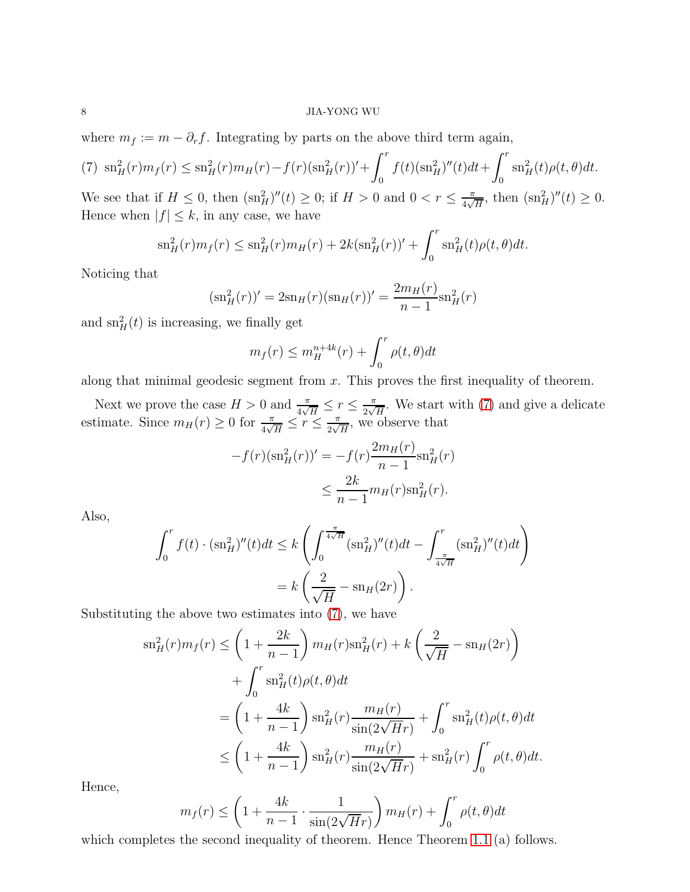where  $m_f := m - \partial_r f$ . Integrating by parts on the above third term again,

<span id="page-7-0"></span>
$$
(7) \ \ \mathrm{sn}_{H}^{2}(r)m_{f}(r) \leq \mathrm{sn}_{H}^{2}(r)m_{H}(r) - f(r)(\mathrm{sn}_{H}^{2}(r))' + \int_{0}^{r} f(t)(\mathrm{sn}_{H}^{2})''(t)dt + \int_{0}^{r} \mathrm{sn}_{H}^{2}(t)\rho(t,\theta)dt.
$$

We see that if  $H \leq 0$ , then  $(\text{sn}_H^2)''(t) \geq 0$ ; if  $H > 0$  and  $0 < r \leq \frac{\pi}{4\sqrt{3}}$  $\frac{\pi}{4\sqrt{H}}$ , then  $(\text{sn}_H^2)''(t) \geq 0$ . Hence when  $|f| \leq k$ , in any case, we have

$$
\mathrm{sn}_{H}^{2}(r)m_{f}(r) \leq \mathrm{sn}_{H}^{2}(r)m_{H}(r) + 2k(\mathrm{sn}_{H}^{2}(r))' + \int_{0}^{r} \mathrm{sn}_{H}^{2}(t)\rho(t,\theta)dt.
$$

Noticing that

$$
(\mathrm{sn}_{H}^{2}(r))' = 2\mathrm{sn}_{H}(r)(\mathrm{sn}_{H}(r))' = \frac{2m_{H}(r)}{n-1}\mathrm{sn}_{H}^{2}(r)
$$

and  $\operatorname{sn}^2_H(t)$  is increasing, we finally get

$$
m_f(r) \le m_H^{n+4k}(r) + \int_0^r \rho(t,\theta)dt
$$

along that minimal geodesic segment from  $x$ . This proves the first inequality of theorem.

Next we prove the case  $H > 0$  and  $\frac{\pi}{4\sqrt{H}} \leq r \leq \frac{\pi}{2\sqrt{2}}$  $\frac{\pi}{2\sqrt{H}}$ . We start with [\(7\)](#page-7-0) and give a delicate estimate. Since  $m_H(r) \geq 0$  for  $\frac{\pi}{4\sqrt{H}} \leq r \leq \frac{\pi}{2\sqrt{2}}$  $\frac{\pi}{2\sqrt{H}}$ , we observe that

$$
-f(r)(\mathrm{sn}_{H}^{2}(r))' = -f(r)\frac{2m_{H}(r)}{n-1}\mathrm{sn}_{H}^{2}(r)
$$

$$
\leq \frac{2k}{n-1}m_{H}(r)\mathrm{sn}_{H}^{2}(r).
$$

Also,

$$
\int_0^r f(t) \cdot (\mathrm{sn}_H^2)''(t)dt \le k \left( \int_0^{\frac{\pi}{4\sqrt{H}}} (\mathrm{sn}_H^2)''(t)dt - \int_{\frac{\pi}{4\sqrt{H}}}^r (\mathrm{sn}_H^2)''(t)dt \right)
$$

$$
= k \left( \frac{2}{\sqrt{H}} - \mathrm{sn}_H(2r) \right).
$$

Substituting the above two estimates into [\(7\)](#page-7-0), we have

$$
\operatorname{sn}_H^2(r)m_f(r) \le \left(1 + \frac{2k}{n-1}\right) m_H(r)\operatorname{sn}_H^2(r) + k\left(\frac{2}{\sqrt{H}} - \operatorname{sn}_H(2r)\right)
$$
  
+ 
$$
\int_0^r \operatorname{sn}_H^2(t)\rho(t,\theta)dt
$$
  
= 
$$
\left(1 + \frac{4k}{n-1}\right) \operatorname{sn}_H^2(r)\frac{m_H(r)}{\sin(2\sqrt{H}r)} + \int_0^r \operatorname{sn}_H^2(t)\rho(t,\theta)dt
$$
  

$$
\le \left(1 + \frac{4k}{n-1}\right) \operatorname{sn}_H^2(r)\frac{m_H(r)}{\sin(2\sqrt{H}r)} + \operatorname{sn}_H^2(r)\int_0^r \rho(t,\theta)dt.
$$

Hence,

$$
m_f(r) \le \left(1 + \frac{4k}{n-1} \cdot \frac{1}{\sin(2\sqrt{H}r)}\right) m_H(r) + \int_0^r \rho(t,\theta)dt
$$

which completes the second inequality of theorem. Hence Theorem [1.1](#page-2-0) (a) follows.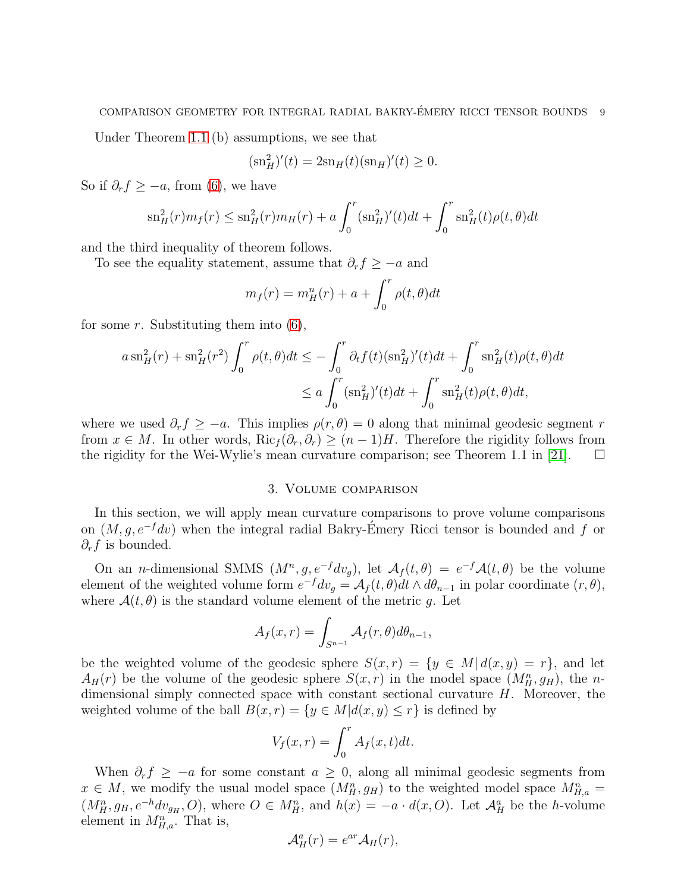Under Theorem [1.1](#page-2-0) (b) assumptions, we see that

$$
(\text{sn}_{H}^{2})'(t) = 2\text{sn}_{H}(t)(\text{sn}_{H})'(t) \ge 0.
$$

So if  $\partial_r f \geq -a$ , from [\(6\)](#page-6-0), we have

$$
\mathrm{sn}_{H}^{2}(r)m_{f}(r) \leq \mathrm{sn}_{H}^{2}(r)m_{H}(r) + a \int_{0}^{r} (\mathrm{sn}_{H}^{2})'(t)dt + \int_{0}^{r} \mathrm{sn}_{H}^{2}(t)\rho(t,\theta)dt
$$

and the third inequality of theorem follows.

To see the equality statement, assume that  $\partial_r f \geq -a$  and

$$
m_f(r) = m_H^n(r) + a + \int_0^r \rho(t, \theta) dt
$$

for some r. Substituting them into  $(6)$ ,

$$
a \operatorname{sn}_{H}^{2}(r) + \operatorname{sn}_{H}^{2}(r^{2}) \int_{0}^{r} \rho(t,\theta)dt \le -\int_{0}^{r} \partial_{t}f(t)(\operatorname{sn}_{H}^{2})'(t)dt + \int_{0}^{r} \operatorname{sn}_{H}^{2}(t)\rho(t,\theta)dt
$$
  

$$
\le a \int_{0}^{r} (\operatorname{sn}_{H}^{2})'(t)dt + \int_{0}^{r} \operatorname{sn}_{H}^{2}(t)\rho(t,\theta)dt,
$$

where we used  $\partial_r f \geq -a$ . This implies  $\rho(r,\theta) = 0$  along that minimal geodesic segment r from  $x \in M$ . In other words, Ric $f(\partial_r, \partial_r) \ge (n-1)H$ . Therefore the rigidity follows from the rigidity for the Wei-Wylie's mean curvature comparison: see Theorem 1.1 in [21]. □ the rigidity for the Wei-Wylie's mean curvature comparison; see Theorem 1.1 in [21].

# 3. Volume comparison

<span id="page-8-0"></span>In this section, we will apply mean curvature comparisons to prove volume comparisons on  $(M, g, e^{-f}dv)$  when the integral radial Bakry-Emery Ricci tensor is bounded and f or  $\partial_r f$  is bounded.

On an *n*-dimensional SMMS  $(M^n, g, e^{-f}dv_g)$ , let  $\mathcal{A}_f(t, \theta) = e^{-f}\mathcal{A}(t, \theta)$  be the volume element of the weighted volume form  $e^{-f} dv_g = \mathcal{A}_f(t, \theta) dt \wedge d\theta_{n-1}$  in polar coordinate  $(r, \theta)$ , where  $\mathcal{A}(t, \theta)$  is the standard volume element of the metric g. Let

$$
A_f(x,r) = \int_{S^{n-1}} \mathcal{A}_f(r,\theta) d\theta_{n-1},
$$

be the weighted volume of the geodesic sphere  $S(x, r) = \{y \in M | d(x, y) = r\}$ , and let  $A_H(r)$  be the volume of the geodesic sphere  $S(x,r)$  in the model space  $(M_H^n, g_H)$ , the ndimensional simply connected space with constant sectional curvature H. Moreover, the weighted volume of the ball  $B(x, r) = \{y \in M | d(x, y) \leq r\}$  is defined by

$$
V_f(x,r) = \int_0^r A_f(x,t)dt.
$$

When  $\partial_r f \geq -a$  for some constant  $a \geq 0$ , along all minimal geodesic segments from  $x \in M$ , we modify the usual model space  $(M_H^n, g_H)$  to the weighted model space  $M_{H,a}^n =$  $(M_H^n, g_H, e^{-h}dv_{g_H}, O)$ , where  $O \in M_H^n$ , and  $h(x) = -a \cdot d(x, O)$ . Let  $\mathcal{A}_H^a$  be the *h*-volume element in  $M_{H,a}^n$ . That is,

$$
\mathcal{A}_H^a(r) = e^{ar} \mathcal{A}_H(r),
$$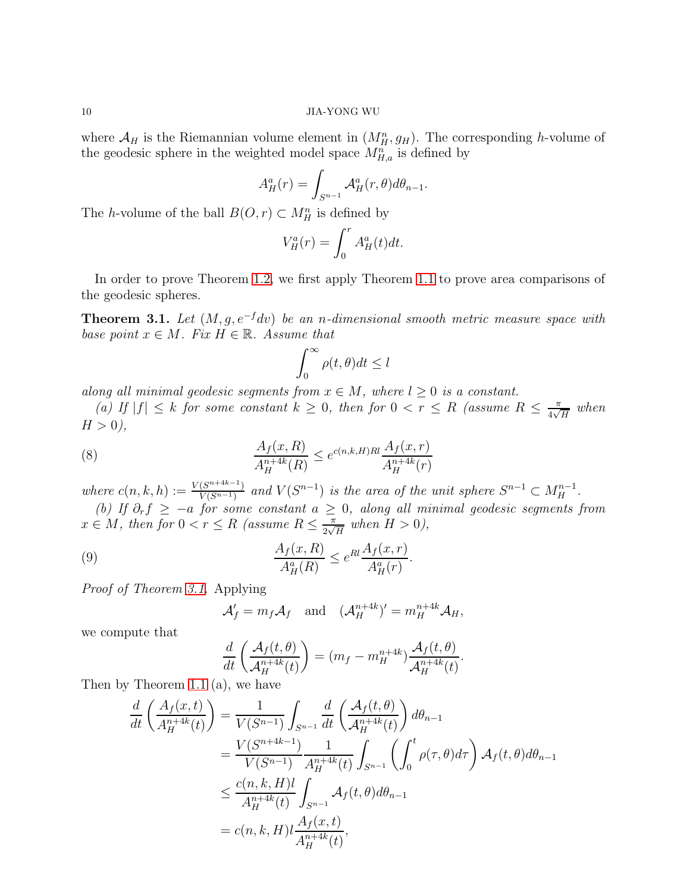where  $\mathcal{A}_H$  is the Riemannian volume element in  $(M_H^n, g_H)$ . The corresponding h-volume of the geodesic sphere in the weighted model space  $M_{H,a}^n$  is defined by

$$
A_H^a(r) = \int_{S^{n-1}} \mathcal{A}_H^a(r,\theta) d\theta_{n-1}.
$$

The *h*-volume of the ball  $B(O, r) \subset M_H^n$  is defined by

$$
V_H^a(r) = \int_0^r A_H^a(t)dt.
$$

In order to prove Theorem [1.2,](#page-3-0) we first apply Theorem [1.1](#page-2-0) to prove area comparisons of the geodesic spheres.

<span id="page-9-0"></span>**Theorem 3.1.** Let  $(M, g, e^{-f}dv)$  be an n-dimensional smooth metric measure space with base point  $x \in M$ . Fix  $H \in \mathbb{R}$ . Assume that

<span id="page-9-1"></span>
$$
\int_0^\infty \rho(t,\theta)dt \le l
$$

along all minimal geodesic segments from  $x \in M$ , where  $l \geq 0$  is a constant.

(a) If  $|f| \leq k$  for some constant  $k \geq 0$ , then for  $0 < r \leq R$  (assume  $R \leq \frac{\pi}{4\sqrt{k}}$  $\frac{\pi}{4\sqrt{H}}$  when  $H > 0$ ),

(8) 
$$
\frac{A_f(x, R)}{A_H^{n+4k}(R)} \le e^{c(n,k,H)Rl} \frac{A_f(x, r)}{A_H^{n+4k}(r)}
$$

where  $c(n, k, h) := \frac{V(S^{n+4k-1})}{V(S^{n-1})}$  $\frac{(S^{n+4k-1})}{V(S^{n-1})}$  and  $V(S^{n-1})$  is the area of the unit sphere  $S^{n-1} \subset M_H^{n-1}$ .

(b) If  $\partial_r f \ge -a$  for some constant  $a \ge 0$ , along all minimal geodesic segments from  $x \in M$ , then for  $0 < r \leq R$  (assume  $R \leq \frac{\pi}{2\sqrt{2}}$  $\frac{\pi}{2\sqrt{H}}$  when  $H > 0$ ),

(9) 
$$
\frac{A_f(x,R)}{A_H^a(R)} \le e^{Rl} \frac{A_f(x,r)}{A_H^a(r)}.
$$

Proof of Theorem [3.1.](#page-9-0) Applying

<span id="page-9-2"></span>
$$
\mathcal{A}'_f = m_f \mathcal{A}_f \quad \text{and} \quad (\mathcal{A}_H^{n+4k})' = m_H^{n+4k} \mathcal{A}_H,
$$

we compute that

$$
\frac{d}{dt}\left(\frac{\mathcal{A}_f(t,\theta)}{\mathcal{A}_H^{n+4k}(t)}\right) = (m_f - m_H^{n+4k})\frac{\mathcal{A}_f(t,\theta)}{\mathcal{A}_H^{n+4k}(t)}.
$$

Then by Theorem [1.1](#page-2-0) (a), we have

$$
\frac{d}{dt} \left( \frac{A_f(x,t)}{A_H^{n+4k}(t)} \right) = \frac{1}{V(S^{n-1})} \int_{S^{n-1}} \frac{d}{dt} \left( \frac{A_f(t,\theta)}{A_H^{n+4k}(t)} \right) d\theta_{n-1}
$$
\n
$$
= \frac{V(S^{n+4k-1})}{V(S^{n-1})} \frac{1}{A_H^{n+4k}(t)} \int_{S^{n-1}} \left( \int_0^t \rho(\tau,\theta) d\tau \right) A_f(t,\theta) d\theta_{n-1}
$$
\n
$$
\leq \frac{c(n,k,H)l}{A_H^{n+4k}(t)} \int_{S^{n-1}} A_f(t,\theta) d\theta_{n-1}
$$
\n
$$
= c(n,k,H)l \frac{A_f(x,t)}{A_H^{n+4k}(t)},
$$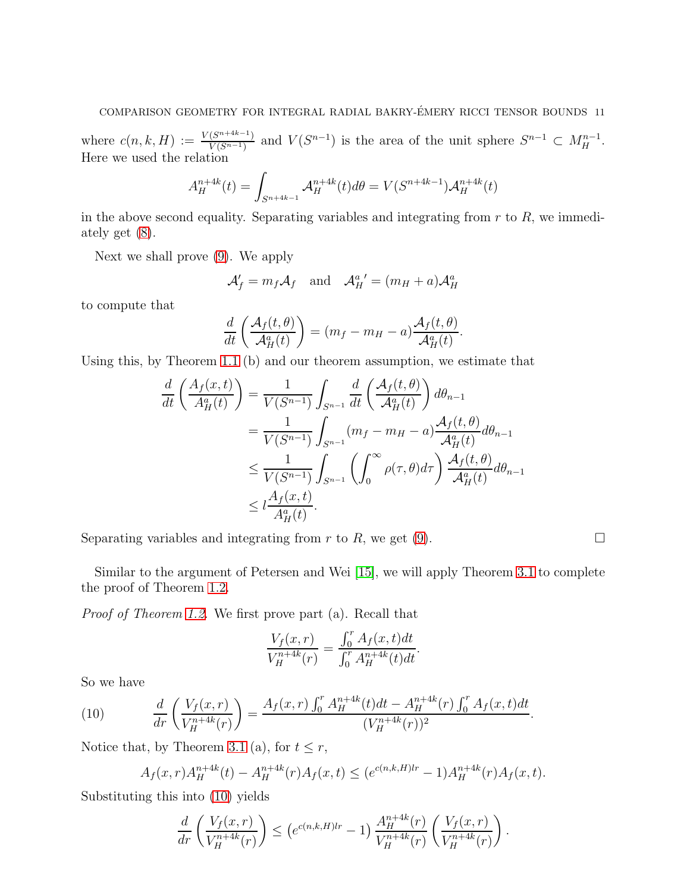where  $c(n, k, H) := \frac{V(S^{n+4k-1})}{V(S^{n-1})}$  $\frac{(S^{n+4k-1})}{V(S^{n-1})}$  and  $V(S^{n-1})$  is the area of the unit sphere  $S^{n-1} \subset M_H^{n-1}$ . Here we used the relation

$$
A_H^{n+4k}(t) = \int_{S^{n+4k-1}} \mathcal{A}_H^{n+4k}(t) d\theta = V(S^{n+4k-1}) \mathcal{A}_H^{n+4k}(t)
$$

in the above second equality. Separating variables and integrating from  $r$  to  $R$ , we immediately get [\(8\)](#page-9-1).

Next we shall prove [\(9\)](#page-9-2). We apply

$$
\mathcal{A}'_f = m_f \mathcal{A}_f \quad \text{and} \quad \mathcal{A}_H^{a'} = (m_H + a) \mathcal{A}_H^a
$$

to compute that

$$
\frac{d}{dt}\left(\frac{\mathcal{A}_f(t,\theta)}{\mathcal{A}_H^a(t)}\right) = (m_f - m_H - a)\frac{\mathcal{A}_f(t,\theta)}{\mathcal{A}_H^a(t)}.
$$

Using this, by Theorem [1.1](#page-2-0) (b) and our theorem assumption, we estimate that

$$
\frac{d}{dt} \left( \frac{A_f(x,t)}{A_H^a(t)} \right) = \frac{1}{V(S^{n-1})} \int_{S^{n-1}} \frac{d}{dt} \left( \frac{A_f(t,\theta)}{A_H^a(t)} \right) d\theta_{n-1}
$$
\n
$$
= \frac{1}{V(S^{n-1})} \int_{S^{n-1}} (m_f - m_H - a) \frac{A_f(t,\theta)}{A_H^a(t)} d\theta_{n-1}
$$
\n
$$
\leq \frac{1}{V(S^{n-1})} \int_{S^{n-1}} \left( \int_0^\infty \rho(\tau,\theta) d\tau \right) \frac{A_f(t,\theta)}{A_H^a(t)} d\theta_{n-1}
$$
\n
$$
\leq l \frac{A_f(x,t)}{A_H^a(t)}.
$$

Separating variables and integrating from r to R, we get  $(9)$ .

Similar to the argument of Petersen and Wei [15], we will apply Theorem [3.1](#page-9-0) to complete the proof of Theorem [1.2.](#page-3-0)

Proof of Theorem [1.2.](#page-3-0) We first prove part (a). Recall that

$$
\frac{V_f(x,r)}{V_H^{n+4k}(r)} = \frac{\int_0^r A_f(x,t)dt}{\int_0^r A_H^{n+4k}(t)dt}.
$$

So we have

(10) 
$$
\frac{d}{dr}\left(\frac{V_f(x,r)}{V_H^{n+4k}(r)}\right) = \frac{A_f(x,r)\int_0^r A_H^{n+4k}(t)dt - A_H^{n+4k}(r)\int_0^r A_f(x,t)dt}{(V_H^{n+4k}(r))^2}.
$$

Notice that, by Theorem [3.1](#page-9-0) (a), for  $t \leq r$ ,

<span id="page-10-0"></span>
$$
A_f(x,r)A_H^{n+4k}(t) - A_H^{n+4k}(r)A_f(x,t) \le (e^{c(n,k,H)lr} - 1)A_H^{n+4k}(r)A_f(x,t).
$$

Substituting this into [\(10\)](#page-10-0) yields

$$
\frac{d}{dr}\left(\frac{V_f(x,r)}{V_H^{n+4k}(r)}\right) \le \left(e^{c(n,k,H)lr} - 1\right) \frac{A_H^{n+4k}(r)}{V_H^{n+4k}(r)} \left(\frac{V_f(x,r)}{V_H^{n+4k}(r)}\right).
$$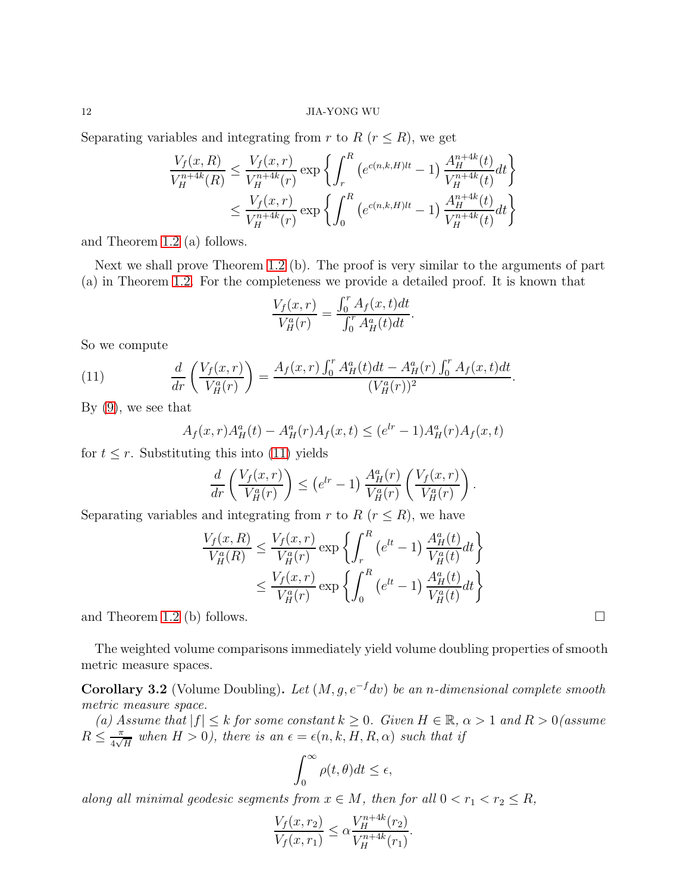Separating variables and integrating from r to R ( $r \leq R$ ), we get

$$
\frac{V_f(x, R)}{V_H^{n+4k}(R)} \le \frac{V_f(x, r)}{V_H^{n+4k}(r)} \exp \left\{ \int_r^R \left( e^{c(n,k,H)lt} - 1 \right) \frac{A_H^{n+4k}(t)}{V_H^{n+4k}(t)} dt \right\}
$$
\n
$$
\le \frac{V_f(x, r)}{V_H^{n+4k}(r)} \exp \left\{ \int_0^R \left( e^{c(n,k,H)lt} - 1 \right) \frac{A_H^{n+4k}(t)}{V_H^{n+4k}(t)} dt \right\}
$$

and Theorem [1.2](#page-3-0) (a) follows.

Next we shall prove Theorem [1.2](#page-3-0) (b). The proof is very similar to the arguments of part (a) in Theorem [1.2.](#page-3-0) For the completeness we provide a detailed proof. It is known that

$$
\frac{V_f(x,r)}{V_H^a(r)} = \frac{\int_0^r A_f(x,t)dt}{\int_0^r A_H^a(t)dt}.
$$

So we compute

(11) 
$$
\frac{d}{dr}\left(\frac{V_f(x,r)}{V_H^a(r)}\right) = \frac{A_f(x,r)\int_0^r A_H^a(t)dt - A_H^a(r)\int_0^r A_f(x,t)dt}{(V_H^a(r))^2}
$$

By  $(9)$ , we see that

<span id="page-11-0"></span>
$$
A_f(x,r)A^a_H(t) - A^a_H(r)A_f(x,t) \le (e^{lr} - 1)A^a_H(r)A_f(x,t)
$$

for  $t \leq r$ . Substituting this into [\(11\)](#page-11-0) yields

$$
\frac{d}{dr}\left(\frac{V_f(x,r)}{V_H^a(r)}\right) \leq \left(e^{lr}-1\right)\frac{A_H^a(r)}{V_H^a(r)}\left(\frac{V_f(x,r)}{V_H^a(r)}\right).
$$

Separating variables and integrating from r to  $R$  ( $r \leq R$ ), we have

$$
\frac{V_f(x, R)}{V_H^a(R)} \le \frac{V_f(x, r)}{V_H^a(r)} \exp\left\{\int_r^R \left(e^{lt} - 1\right) \frac{A_H^a(t)}{V_H^a(t)} dt\right\}
$$

$$
\le \frac{V_f(x, r)}{V_H^a(r)} \exp\left\{\int_0^R \left(e^{lt} - 1\right) \frac{A_H^a(t)}{V_H^a(t)} dt\right\}
$$

and Theorem [1.2](#page-3-0) (b) follows.

The weighted volume comparisons immediately yield volume doubling properties of smooth metric measure spaces.

<span id="page-11-1"></span>Corollary 3.2 (Volume Doubling). Let  $(M, g, e^{-f}dv)$  be an n-dimensional complete smooth metric measure space.

(a) Assume that  $|f| \leq k$  for some constant  $k \geq 0$ . Given  $H \in \mathbb{R}$ ,  $\alpha > 1$  and  $R > 0$  (assume  $R \leq \frac{\pi}{4\sqrt{2}}$  $\frac{\pi}{4\sqrt{H}}$  when  $H > 0$ ), there is an  $\epsilon = \epsilon(n, k, H, R, \alpha)$  such that if

$$
\int_0^\infty \rho(t,\theta)dt \le \epsilon,
$$

along all minimal geodesic segments from  $x \in M$ , then for all  $0 < r_1 < r_2 \le R$ ,

$$
\frac{V_f(x, r_2)}{V_f(x, r_1)} \le \alpha \frac{V_H^{n+4k}(r_2)}{V_H^{n+4k}(r_1)}
$$

.

.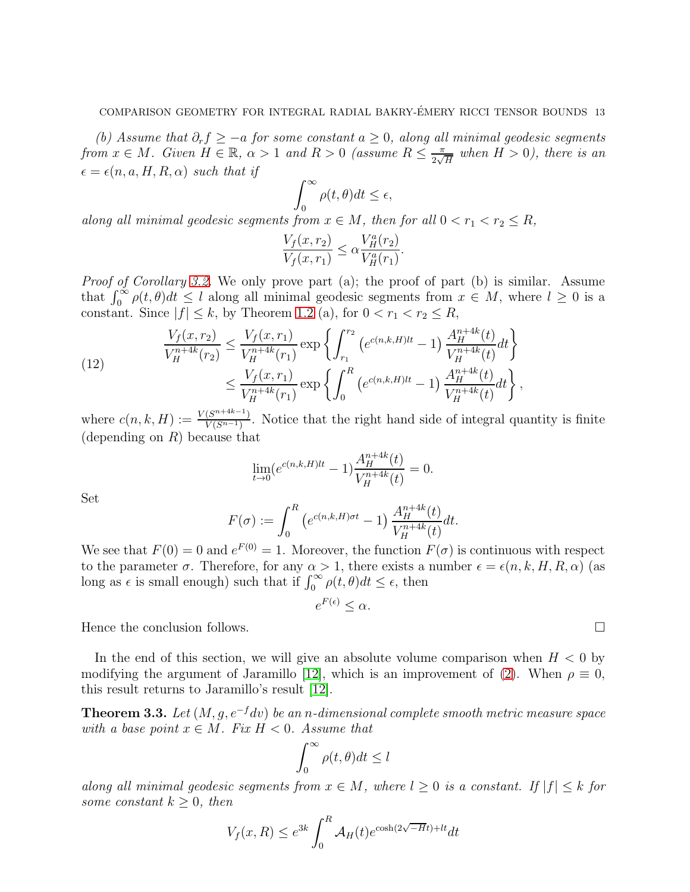(b) Assume that  $\partial_r f \geq -a$  for some constant  $a \geq 0$ , along all minimal geodesic segments from  $x \in M$ . Given  $H \in \mathbb{R}$ ,  $\alpha > 1$  and  $R > 0$  (assume  $R \leq \frac{\pi}{2\sqrt{M}}$  $\frac{\pi}{2\sqrt{H}}$  when  $H>0$ ), there is an  $\epsilon = \epsilon(n, a, H, R, \alpha)$  such that if

$$
\int_0^\infty \rho(t,\theta)dt \le \epsilon,
$$

along all minimal geodesic segments from  $x \in M$ , then for all  $0 < r_1 < r_2 \le R$ ,

$$
\frac{V_f(x,r_2)}{V_f(x,r_1)} \le \alpha \frac{V_H^a(r_2)}{V_H^a(r_1)}.
$$

*Proof of Corollary [3.2.](#page-11-1)* We only prove part (a); the proof of part (b) is similar. Assume that  $\int_0^\infty \rho(t, \theta) dt \leq l$  along all minimal geodesic segments from  $x \in M$ , where  $l \geq 0$  is a constant. Since  $|f| \leq k$ , by Theorem [1.2](#page-3-0) (a), for  $0 < r_1 < r_2 \leq R$ ,

(12) 
$$
\frac{V_f(x, r_2)}{V_H^{n+4k}(r_2)} \le \frac{V_f(x, r_1)}{V_H^{n+4k}(r_1)} \exp\left\{\int_{r_1}^{r_2} \left(e^{c(n,k,H)lt} - 1\right) \frac{A_H^{n+4k}(t)}{V_H^{n+4k}(t)} dt\right\}
$$

$$
\le \frac{V_f(x, r_1)}{V_H^{n+4k}(r_1)} \exp\left\{\int_0^R \left(e^{c(n,k,H)lt} - 1\right) \frac{A_H^{n+4k}(t)}{V_H^{n+4k}(t)} dt\right\},
$$

where  $c(n, k, H) := \frac{V(S^{n+4k-1})}{V(S^{n-1})}$  $\frac{(S^{n+m-1})}{V(S^{n-1})}$ . Notice that the right hand side of integral quantity is finite (depending on  $R$ ) because that

$$
\lim_{t \to 0} (e^{c(n,k,H)lt} - 1) \frac{A_H^{n+4k}(t)}{V_H^{n+4k}(t)} = 0.
$$

Set

$$
F(\sigma) := \int_0^R \left( e^{c(n,k,H)\sigma t} - 1 \right) \frac{A_H^{n+4k}(t)}{V_H^{n+4k}(t)} dt.
$$

We see that  $F(0) = 0$  and  $e^{F(0)} = 1$ . Moreover, the function  $F(\sigma)$  is continuous with respect to the parameter  $\sigma$ . Therefore, for any  $\alpha > 1$ , there exists a number  $\epsilon = \epsilon(n, k, H, R, \alpha)$  (as long as  $\epsilon$  is small enough) such that if  $\int_0^\infty \rho(t,\theta)dt \leq \epsilon$ , then

 $e^{F(\epsilon)} \leq \alpha.$ 

Hence the conclusion follows.

In the end of this section, we will give an absolute volume comparison when  $H < 0$  by modifying the argument of Jaramillo [12], which is an improvement of [\(2\)](#page-3-1). When  $\rho \equiv 0$ , this result returns to Jaramillo's result [12].

<span id="page-12-0"></span>**Theorem 3.3.** Let  $(M, q, e^{-f}dv)$  be an n-dimensional complete smooth metric measure space with a base point  $x \in M$ . Fix  $H < 0$ . Assume that

$$
\int_0^\infty \rho(t,\theta)dt \le l
$$

along all minimal geodesic segments from  $x \in M$ , where  $l \geq 0$  is a constant. If  $|f| \leq k$  for some constant  $k \geq 0$ , then

$$
V_f(x, R) \le e^{3k} \int_0^R \mathcal{A}_H(t) e^{\cosh(2\sqrt{-H}t) + lt} dt
$$

$$
\qquad \qquad \Box
$$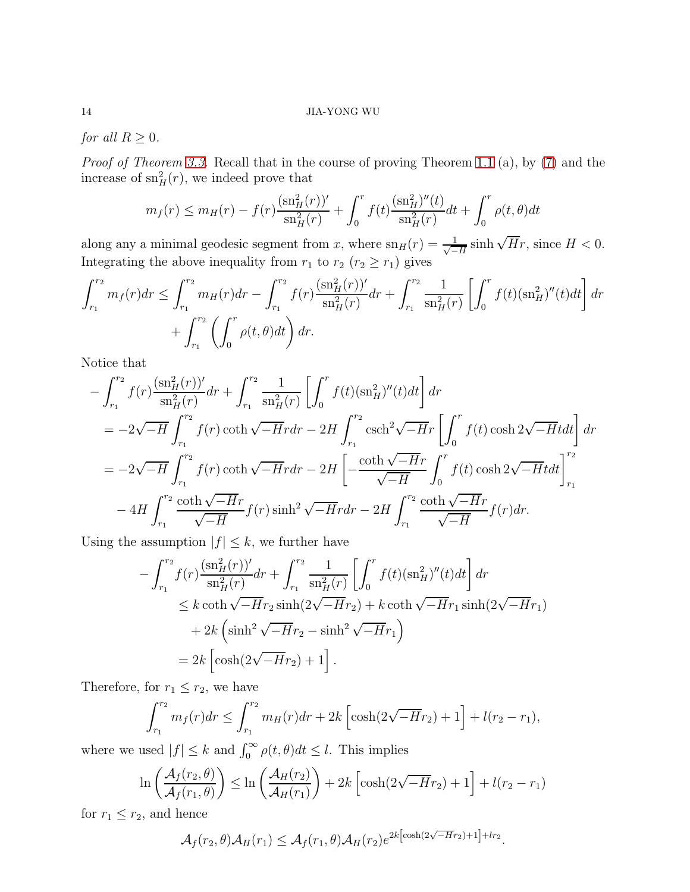for all  $R \geq 0$ .

Proof of Theorem [3.3.](#page-12-0) Recall that in the course of proving Theorem [1.1](#page-2-0) (a), by [\(7\)](#page-7-0) and the increase of  $\operatorname{sn}^2_H(r)$ , we indeed prove that

$$
m_f(r) \le m_H(r) - f(r) \frac{(\text{sn}_H^2(r))'}{\text{sn}_H^2(r)} + \int_0^r f(t) \frac{(\text{sn}_H^2)''(t)}{\text{sn}_H^2(r)} dt + \int_0^r \rho(t,\theta) dt
$$

along any a minimal geodesic segment from x, where  $\text{sn}_H(r) = \frac{1}{\sqrt{2\pi}}$  $\frac{1}{-H}$  sinh  $\sqrt{H}r$ , since  $H < 0$ . Integrating the above inequality from  $r_1$  to  $r_2$   $(r_2 \ge r_1)$  gives

$$
\int_{r_1}^{r_2} m_f(r) dr \le \int_{r_1}^{r_2} m_H(r) dr - \int_{r_1}^{r_2} f(r) \frac{(\text{sn}_H^2(r))'}{\text{sn}_H^2(r)} dr + \int_{r_1}^{r_2} \frac{1}{\text{sn}_H^2(r)} \left[ \int_0^r f(t) (\text{sn}_H^2)''(t) dt \right] dr + \int_{r_1}^{r_2} \left( \int_0^r \rho(t, \theta) dt \right) dr.
$$

Notice that

$$
-\int_{r_1}^{r_2} f(r) \frac{(\mathrm{sn}_{H}^{2}(r))'}{\mathrm{sn}_{H}^{2}(r)} dr + \int_{r_1}^{r_2} \frac{1}{\mathrm{sn}_{H}^{2}(r)} \left[ \int_{0}^{r} f(t) (\mathrm{sn}_{H}^{2})''(t) dt \right] dr
$$
  
\n
$$
= -2\sqrt{-H} \int_{r_1}^{r_2} f(r) \coth \sqrt{-H} r dr - 2H \int_{r_1}^{r_2} \mathrm{csch}^{2} \sqrt{-H} r \left[ \int_{0}^{r} f(t) \cosh 2\sqrt{-H} t dt \right] dr
$$
  
\n
$$
= -2\sqrt{-H} \int_{r_1}^{r_2} f(r) \coth \sqrt{-H} r dr - 2H \left[ -\frac{\coth \sqrt{-H} r}{\sqrt{-H}} \int_{0}^{r} f(t) \cosh 2\sqrt{-H} t dt \right]_{r_1}^{r_2}
$$
  
\n
$$
-4H \int_{r_1}^{r_2} \frac{\coth \sqrt{-H} r}{\sqrt{-H}} f(r) \sinh^{2} \sqrt{-H} r dr - 2H \int_{r_1}^{r_2} \frac{\coth \sqrt{-H} r}{\sqrt{-H}} f(r) dr.
$$

Using the assumption  $|f| \leq k$ , we further have

$$
-\int_{r_1}^{r_2} f(r) \frac{(\text{sn}_{H}^{2}(r))'}{\text{sn}_{H}^{2}(r)} dr + \int_{r_1}^{r_2} \frac{1}{\text{sn}_{H}^{2}(r)} \left[ \int_{0}^{r} f(t) (\text{sn}_{H}^{2})''(t) dt \right] dr
$$
  

$$
\leq k \coth \sqrt{-H} r_2 \sinh(2\sqrt{-H} r_2) + k \coth \sqrt{-H} r_1 \sinh(2\sqrt{-H} r_1)
$$
  
+  $2k \left( \sinh^{2} \sqrt{-H} r_2 - \sinh^{2} \sqrt{-H} r_1 \right)$   
=  $2k \left[ \cosh(2\sqrt{-H} r_2) + 1 \right].$ 

Therefore, for  $r_1 \leq r_2$ , we have

$$
\int_{r_1}^{r_2} m_f(r) dr \le \int_{r_1}^{r_2} m_H(r) dr + 2k \left[ \cosh(2\sqrt{-H}r_2) + 1 \right] + l(r_2 - r_1),
$$

where we used  $|f| \leq k$  and  $\int_0^\infty \rho(t,\theta)dt \leq l$ . This implies

$$
\ln\left(\frac{\mathcal{A}_f(r_2,\theta)}{\mathcal{A}_f(r_1,\theta)}\right) \le \ln\left(\frac{\mathcal{A}_H(r_2)}{\mathcal{A}_H(r_1)}\right) + 2k\left[\cosh(2\sqrt{-H}r_2) + 1\right] + l(r_2 - r_1)
$$

for  $r_1 \leq r_2$ , and hence

$$
\mathcal{A}_f(r_2,\theta)\mathcal{A}_H(r_1) \leq \mathcal{A}_f(r_1,\theta)\mathcal{A}_H(r_2)e^{2k\left[\cosh(2\sqrt{-H}r_2)+1\right]+lr_2}.
$$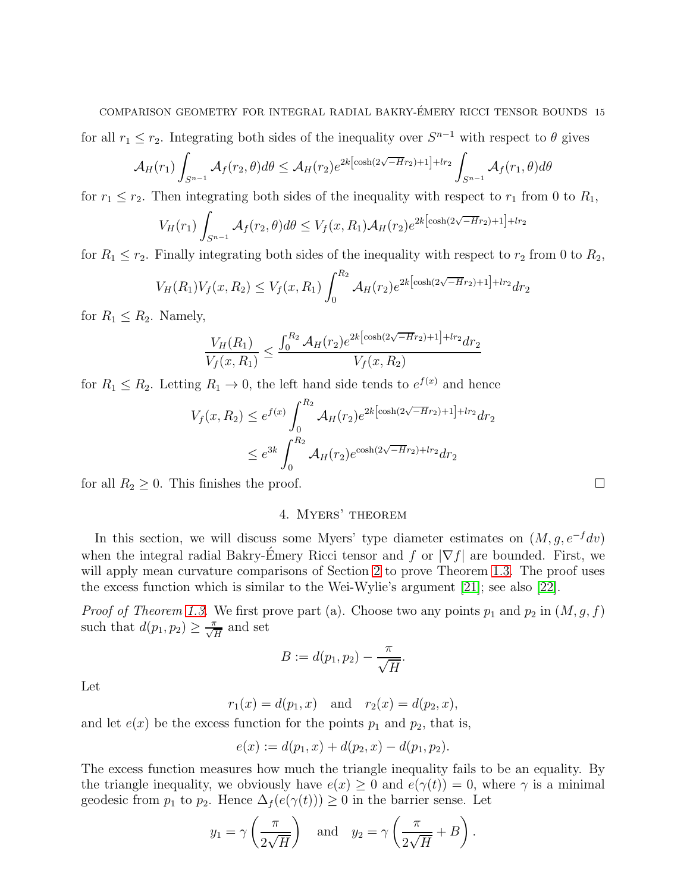# COMPARISON GEOMETRY FOR INTEGRAL RADIAL BAKRY-EMERY RICCI TENSOR BOUNDS 15 ´

for all  $r_1 \leq r_2$ . Integrating both sides of the inequality over  $S^{n-1}$  with respect to  $\theta$  gives

$$
\mathcal{A}_H(r_1) \int_{S^{n-1}} \mathcal{A}_f(r_2, \theta) d\theta \le \mathcal{A}_H(r_2) e^{2k \left[\cosh(2\sqrt{-H}r_2) + 1\right] + lr_2} \int_{S^{n-1}} \mathcal{A}_f(r_1, \theta) d\theta
$$

for  $r_1 \le r_2$ . Then integrating both sides of the inequality with respect to  $r_1$  from 0 to  $R_1$ ,

$$
V_H(r_1) \int_{S^{n-1}} \mathcal{A}_f(r_2, \theta) d\theta \le V_f(x, R_1) \mathcal{A}_H(r_2) e^{2k \left[\cosh(2\sqrt{-H}r_2) + 1\right] + lr_2}
$$

for  $R_1 \le r_2$ . Finally integrating both sides of the inequality with respect to  $r_2$  from 0 to  $R_2$ ,

$$
V_H(R_1)V_f(x, R_2) \le V_f(x, R_1) \int_0^{R_2} \mathcal{A}_H(r_2) e^{2k[\cosh(2\sqrt{-H}r_2) + 1] + lr_2} dr_2
$$

for  $R_1 \leq R_2$ . Namely,

$$
\frac{V_H(R_1)}{V_f(x, R_1)} \le \frac{\int_0^{R_2} \mathcal{A}_H(r_2) e^{2k[\cosh(2\sqrt{-H}r_2) + 1] + lr_2} dr_2}{V_f(x, R_2)}
$$

for  $R_1 \leq R_2$ . Letting  $R_1 \to 0$ , the left hand side tends to  $e^{f(x)}$  and hence

$$
V_f(x, R_2) \le e^{f(x)} \int_0^{R_2} \mathcal{A}_H(r_2) e^{2k \left[\cosh(2\sqrt{-H}r_2) + 1\right] + lr_2} dr_2
$$
  

$$
\le e^{3k} \int_0^{R_2} \mathcal{A}_H(r_2) e^{\cosh(2\sqrt{-H}r_2) + lr_2} dr_2
$$

<span id="page-14-0"></span>for all  $R_2 \geq 0$ . This finishes the proof.

# 4. Myers' theorem

In this section, we will discuss some Myers' type diameter estimates on  $(M, g, e^{-f}dv)$ when the integral radial Bakry-Emery Ricci tensor and f or  $|\nabla f|$  are bounded. First, we will apply mean curvature comparisons of Section [2](#page-5-0) to prove Theorem [1.3.](#page-4-0) The proof uses the excess function which is similar to the Wei-Wylie's argument [21]; see also [22].

*Proof of Theorem [1.3.](#page-4-0)* We first prove part (a). Choose two any points  $p_1$  and  $p_2$  in  $(M, g, f)$ such that  $d(p_1, p_2) \geq \frac{\pi}{\sqrt{H}}$  and set

$$
B:=d(p_1,p_2)-\frac{\pi}{\sqrt{H}}.
$$

Let

$$
r_1(x) = d(p_1, x)
$$
 and  $r_2(x) = d(p_2, x)$ ,

and let  $e(x)$  be the excess function for the points  $p_1$  and  $p_2$ , that is,

$$
e(x) := d(p_1, x) + d(p_2, x) - d(p_1, p_2).
$$

The excess function measures how much the triangle inequality fails to be an equality. By the triangle inequality, we obviously have  $e(x) \geq 0$  and  $e(\gamma(t)) = 0$ , where  $\gamma$  is a minimal geodesic from  $p_1$  to  $p_2$ . Hence  $\Delta_f(e(\gamma(t))) \geq 0$  in the barrier sense. Let

$$
y_1 = \gamma \left(\frac{\pi}{2\sqrt{H}}\right)
$$
 and  $y_2 = \gamma \left(\frac{\pi}{2\sqrt{H}} + B\right)$ .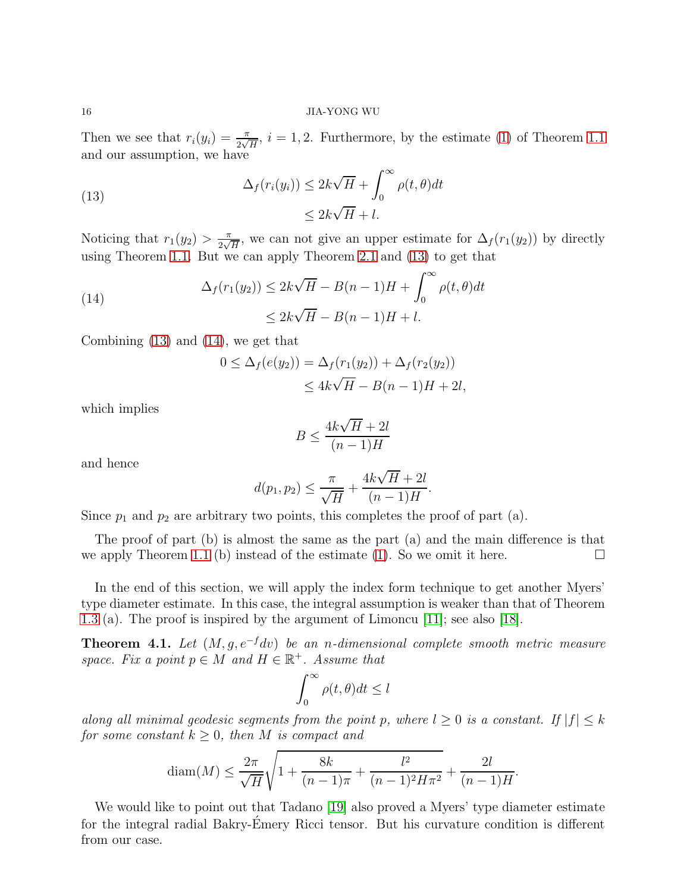Then we see that  $r_i(y_i) = \frac{\pi}{2\sqrt{H}}, i = 1, 2$ . Furthermore, by the estimate [\(1\)](#page-2-1) of Theorem [1.1](#page-2-0) and our assumption, we have

<span id="page-15-1"></span>(13) 
$$
\Delta_f(r_i(y_i)) \leq 2k\sqrt{H} + \int_0^\infty \rho(t,\theta)dt
$$

$$
\leq 2k\sqrt{H} + l.
$$

Noticing that  $r_1(y_2) > \frac{\pi}{2}$  $\frac{\pi}{2\sqrt{H}}$ , we can not give an upper estimate for  $\Delta_f(r_1(y_2))$  by directly using Theorem [1.1.](#page-2-0) But we can apply Theorem [2.1](#page-5-1) and [\(13\)](#page-15-1) to get that

(14)  
\n
$$
\Delta_f(r_1(y_2)) \le 2k\sqrt{H} - B(n-1)H + \int_0^\infty \rho(t,\theta)dt
$$
\n
$$
\le 2k\sqrt{H} - B(n-1)H + l.
$$

Combining [\(13\)](#page-15-1) and [\(14\)](#page-15-2), we get that

<span id="page-15-2"></span>
$$
0 \le \Delta_f(e(y_2)) = \Delta_f(r_1(y_2)) + \Delta_f(r_2(y_2))
$$
  
 
$$
\le 4k\sqrt{H} - B(n-1)H + 2l,
$$

which implies

$$
B \le \frac{4k\sqrt{H} + 2l}{(n-1)H}
$$

and hence

$$
d(p_1, p_2) \le \frac{\pi}{\sqrt{H}} + \frac{4k\sqrt{H} + 2l}{(n-1)H}.
$$

Since  $p_1$  and  $p_2$  are arbitrary two points, this completes the proof of part (a).

The proof of part (b) is almost the same as the part (a) and the main difference is that we apply Theorem [1.1](#page-2-0) (b) instead of the estimate [\(1\)](#page-2-1). So we omit it here.

In the end of this section, we will apply the index form technique to get another Myers' type diameter estimate. In this case, the integral assumption is weaker than that of Theorem [1.3](#page-4-0) (a). The proof is inspired by the argument of Limoncu [11]; see also [\[18\]](#page-20-3).

<span id="page-15-0"></span>**Theorem 4.1.** Let  $(M, g, e^{-f}dv)$  be an n-dimensional complete smooth metric measure space. Fix a point  $p \in M$  and  $H \in \mathbb{R}^+$ . Assume that

$$
\int_0^\infty \rho(t,\theta)dt \le l
$$

along all minimal geodesic segments from the point p, where  $l \geq 0$  is a constant. If  $|f| \leq k$ for some constant  $k \geq 0$ , then M is compact and

$$
\text{diam}(M) \le \frac{2\pi}{\sqrt{H}} \sqrt{1 + \frac{8k}{(n-1)\pi} + \frac{l^2}{(n-1)^2 H \pi^2}} + \frac{2l}{(n-1)H}
$$

.

We would like to point out that Tadano [\[19\]](#page-20-2) also proved a Myers' type diameter estimate for the integral radial Bakry-Emery Ricci tensor. But his curvature condition is different from our case.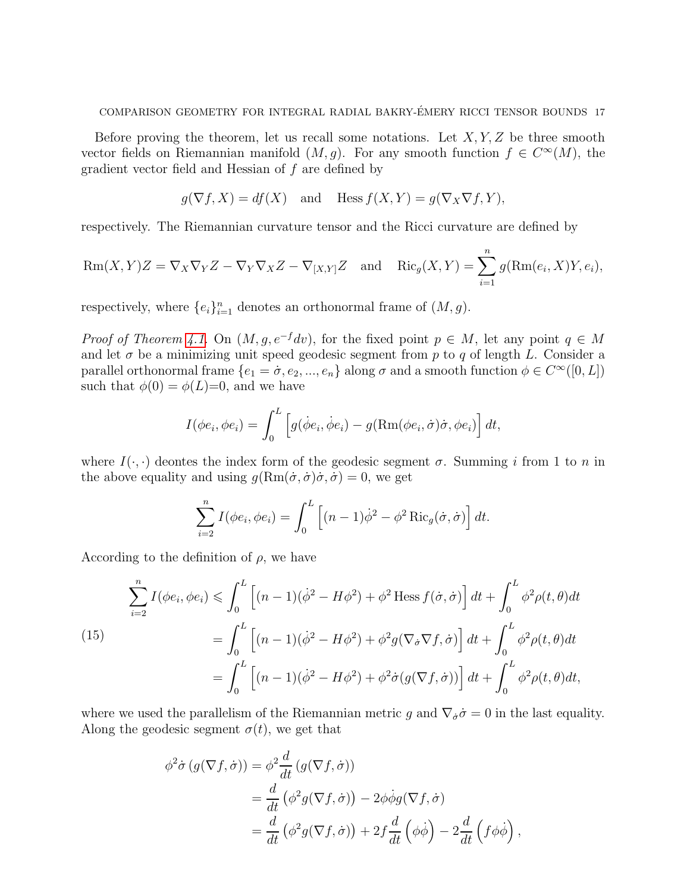Before proving the theorem, let us recall some notations. Let  $X, Y, Z$  be three smooth vector fields on Riemannian manifold  $(M, g)$ . For any smooth function  $f \in C^{\infty}(M)$ , the gradient vector field and Hessian of f are defined by

$$
g(\nabla f, X) = df(X)
$$
 and Hess  $f(X, Y) = g(\nabla_X \nabla f, Y)$ ,

respectively. The Riemannian curvature tensor and the Ricci curvature are defined by

$$
Rm(X,Y)Z = \nabla_X \nabla_Y Z - \nabla_Y \nabla_X Z - \nabla_{[X,Y]} Z \text{ and } Ric_g(X,Y) = \sum_{i=1}^n g(Rm(e_i, X)Y, e_i),
$$

respectively, where  $\{e_i\}_{i=1}^n$  denotes an orthonormal frame of  $(M, g)$ .

*Proof of Theorem [4.1.](#page-15-0)* On  $(M, g, e^{-f}dv)$ , for the fixed point  $p \in M$ , let any point  $q \in M$ and let  $\sigma$  be a minimizing unit speed geodesic segment from p to q of length L. Consider a parallel orthonormal frame  $\{e_1 = \sigma, e_2, ..., e_n\}$  along  $\sigma$  and a smooth function  $\phi \in C^{\infty}([0, L])$ such that  $\phi(0) = \phi(L)=0$ , and we have

$$
I(\phi e_i, \phi e_i) = \int_0^L \left[ g(\dot{\phi} e_i, \dot{\phi} e_i) - g(\text{Rm}(\phi e_i, \dot{\sigma})\dot{\sigma}, \phi e_i) \right] dt,
$$

where  $I(\cdot, \cdot)$  deontes the index form of the geodesic segment  $\sigma$ . Summing i from 1 to n in the above equality and using  $g(\text{Rm}(\dot{\sigma}, \dot{\sigma})\dot{\sigma}, \dot{\sigma}) = 0$ , we get

$$
\sum_{i=2}^{n} I(\phi e_i, \phi e_i) = \int_0^L \left[ (n-1)\dot{\phi}^2 - \phi^2 \operatorname{Ric}_g(\dot{\sigma}, \dot{\sigma}) \right] dt.
$$

According to the definition of  $\rho$ , we have

<span id="page-16-0"></span>(15)  
\n
$$
\sum_{i=2}^{n} I(\phi e_i, \phi e_i) \leq \int_0^L \left[ (n-1)(\dot{\phi}^2 - H\phi^2) + \phi^2 \text{ Hess } f(\dot{\sigma}, \dot{\sigma}) \right] dt + \int_0^L \phi^2 \rho(t, \theta) dt
$$
\n
$$
= \int_0^L \left[ (n-1)(\dot{\phi}^2 - H\phi^2) + \phi^2 g(\nabla_{\dot{\sigma}} \nabla f, \dot{\sigma}) \right] dt + \int_0^L \phi^2 \rho(t, \theta) dt
$$
\n
$$
= \int_0^L \left[ (n-1)(\dot{\phi}^2 - H\phi^2) + \phi^2 \dot{\sigma} (g(\nabla f, \dot{\sigma})) \right] dt + \int_0^L \phi^2 \rho(t, \theta) dt,
$$

where we used the parallelism of the Riemannian metric g and  $\nabla_{\dot{\sigma}}\dot{\sigma}=0$  in the last equality. Along the geodesic segment  $\sigma(t)$ , we get that

$$
\phi^2 \dot{\sigma} (g(\nabla f, \dot{\sigma})) = \phi^2 \frac{d}{dt} (g(\nabla f, \dot{\sigma}))
$$
  
= 
$$
\frac{d}{dt} (\phi^2 g(\nabla f, \dot{\sigma})) - 2\phi \dot{\phi} g(\nabla f, \dot{\sigma})
$$
  
= 
$$
\frac{d}{dt} (\phi^2 g(\nabla f, \dot{\sigma})) + 2f \frac{d}{dt} (\phi \dot{\phi}) - 2\frac{d}{dt} (f \phi \dot{\phi}),
$$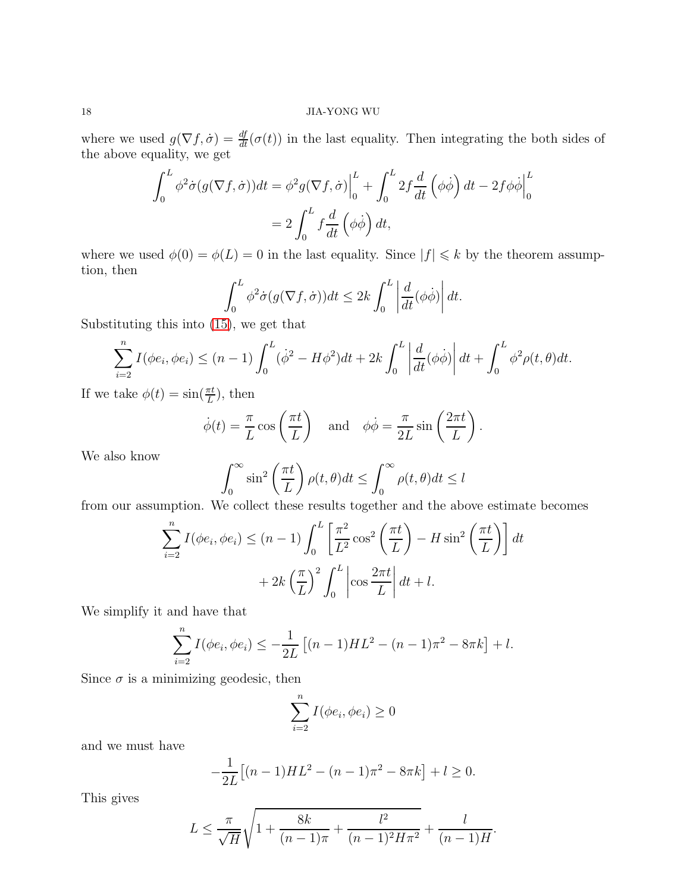where we used  $g(\nabla f, \dot{\sigma}) = \frac{df}{dt}(\sigma(t))$  in the last equality. Then integrating the both sides of the above equality, we get

$$
\int_0^L \phi^2 \dot{\sigma} (g(\nabla f, \dot{\sigma})) dt = \phi^2 g(\nabla f, \dot{\sigma}) \Big|_0^L + \int_0^L 2f \frac{d}{dt} (\phi \dot{\phi}) dt - 2f \phi \dot{\phi} \Big|_0^L
$$

$$
= 2 \int_0^L f \frac{d}{dt} (\phi \dot{\phi}) dt,
$$

where we used  $\phi(0) = \phi(L) = 0$  in the last equality. Since  $|f| \leq k$  by the theorem assumption, then

$$
\int_0^L \phi^2 \dot{\sigma}(g(\nabla f, \dot{\sigma})) dt \le 2k \int_0^L \left| \frac{d}{dt} (\phi \dot{\phi}) \right| dt.
$$

Substituting this into [\(15\)](#page-16-0), we get that

$$
\sum_{i=2}^{n} I(\phi e_i, \phi e_i) \le (n-1) \int_0^L (\dot{\phi}^2 - H\phi^2) dt + 2k \int_0^L \left| \frac{d}{dt} (\phi \dot{\phi}) \right| dt + \int_0^L \phi^2 \rho(t, \theta) dt.
$$

If we take  $\phi(t) = \sin(\frac{\pi t}{L})$ , then

$$
\dot{\phi}(t) = \frac{\pi}{L} \cos\left(\frac{\pi t}{L}\right)
$$
 and  $\phi \dot{\phi} = \frac{\pi}{2L} \sin\left(\frac{2\pi t}{L}\right)$ .

We also know

$$
\int_0^\infty \sin^2\left(\frac{\pi t}{L}\right) \rho(t,\theta) dt \le \int_0^\infty \rho(t,\theta) dt \le l
$$

from our assumption. We collect these results together and the above estimate becomes

$$
\sum_{i=2}^{n} I(\phi e_i, \phi e_i) \le (n-1) \int_0^L \left[ \frac{\pi^2}{L^2} \cos^2 \left( \frac{\pi t}{L} \right) - H \sin^2 \left( \frac{\pi t}{L} \right) \right] dt
$$

$$
+ 2k \left( \frac{\pi}{L} \right)^2 \int_0^L \left| \cos \frac{2\pi t}{L} \right| dt + l.
$$

We simplify it and have that

$$
\sum_{i=2}^{n} I(\phi e_i, \phi e_i) \leq -\frac{1}{2L} \left[ (n-1)HL^2 - (n-1)\pi^2 - 8\pi k \right] + l.
$$

Since  $\sigma$  is a minimizing geodesic, then

$$
\sum_{i=2}^{n} I(\phi e_i, \phi e_i) \ge 0
$$

and we must have

$$
-\frac{1}{2L}[(n-1)HL^2 - (n-1)\pi^2 - 8\pi k] + l \ge 0.
$$

This gives

$$
L \leq \frac{\pi}{\sqrt{H}} \sqrt{1 + \frac{8k}{(n-1)\pi} + \frac{l^2}{(n-1)^2 H \pi^2}} + \frac{l}{(n-1)H}.
$$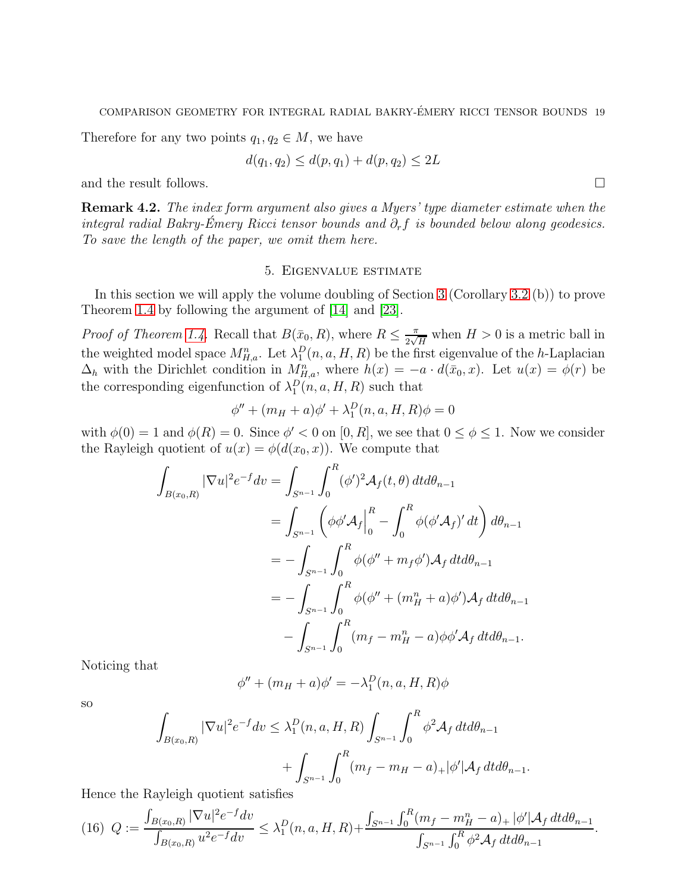Therefore for any two points  $q_1, q_2 \in M$ , we have

$$
d(q_1, q_2) \le d(p, q_1) + d(p, q_2) \le 2L
$$

and the result follows.

Remark 4.2. The index form argument also gives a Myers' type diameter estimate when the integral radial Bakry-Émery Ricci tensor bounds and  $\partial_r f$  is bounded below along geodesics. To save the length of the paper, we omit them here.

# 5. Eigenvalue estimate

<span id="page-18-0"></span>In this section we will apply the volume doubling of Section [3](#page-8-0) (Corollary [3.2](#page-11-1) (b)) to prove Theorem [1.4](#page-4-1) by following the argument of [14] and [23].

*Proof of Theorem [1.4.](#page-4-1)* Recall that  $B(\bar{x}_0, R)$ , where  $R \leq \frac{\pi}{2\sqrt{2}}$  $\frac{\pi}{2\sqrt{H}}$  when  $H > 0$  is a metric ball in the weighted model space  $M_{H,a}^n$ . Let  $\lambda_1^D(n, a, H, R)$  be the first eigenvalue of the h-Laplacian  $\Delta_h$  with the Dirichlet condition in  $M_{H,a}^n$ , where  $h(x) = -a \cdot d(\bar{x}_0, x)$ . Let  $u(x) = \phi(r)$  be the corresponding eigenfunction of  $\lambda_1^D(n, a, H, R)$  such that

$$
\phi'' + (m_H + a)\phi' + \lambda_1^D(n, a, H, R)\phi = 0
$$

with  $\phi(0) = 1$  and  $\phi(R) = 0$ . Since  $\phi' < 0$  on  $[0, R]$ , we see that  $0 \le \phi \le 1$ . Now we consider the Rayleigh quotient of  $u(x) = \phi(d(x_0, x))$ . We compute that

$$
\int_{B(x_0,R)} |\nabla u|^2 e^{-f} dv = \int_{S^{n-1}} \int_0^R (\phi')^2 \mathcal{A}_f(t,\theta) dt d\theta_{n-1}
$$
  
\n
$$
= \int_{S^{n-1}} \left( \phi \phi' \mathcal{A}_f \Big|_0^R - \int_0^R \phi (\phi' \mathcal{A}_f)' dt \right) d\theta_{n-1}
$$
  
\n
$$
= - \int_{S^{n-1}} \int_0^R \phi (\phi'' + m_f \phi') \mathcal{A}_f dt d\theta_{n-1}
$$
  
\n
$$
= - \int_{S^{n-1}} \int_0^R \phi (\phi'' + (m_H^n + a) \phi') \mathcal{A}_f dt d\theta_{n-1}
$$
  
\n
$$
- \int_{S^{n-1}} \int_0^R (m_f - m_H^n - a) \phi \phi' \mathcal{A}_f dt d\theta_{n-1}.
$$

Noticing that

$$
\phi'' + (m_H + a)\phi' = -\lambda_1^D(n, a, H, R)\phi
$$

so

$$
\int_{B(x_0,R)} |\nabla u|^2 e^{-f} dv \leq \lambda_1^D(n, a, H, R) \int_{S^{n-1}} \int_0^R \phi^2 \mathcal{A}_f dt d\theta_{n-1} + \int_{S^{n-1}} \int_0^R (m_f - m_H - a)_+ |\phi'| \mathcal{A}_f dt d\theta_{n-1}.
$$

Hence the Rayleigh quotient satisfies

<span id="page-18-1"></span>
$$
(16) \ \ Q := \frac{\int_{B(x_0,R)} |\nabla u|^2 e^{-f} dv}{\int_{B(x_0,R)} u^2 e^{-f} dv} \leq \lambda_1^D(n,a,H,R) + \frac{\int_{S^{n-1}} \int_0^R (m_f - m_H^n - a)_+ |\phi'| \mathcal{A}_f \, dt d\theta_{n-1}}{\int_{S^{n-1}} \int_0^R \phi^2 \mathcal{A}_f \, dt d\theta_{n-1}}.
$$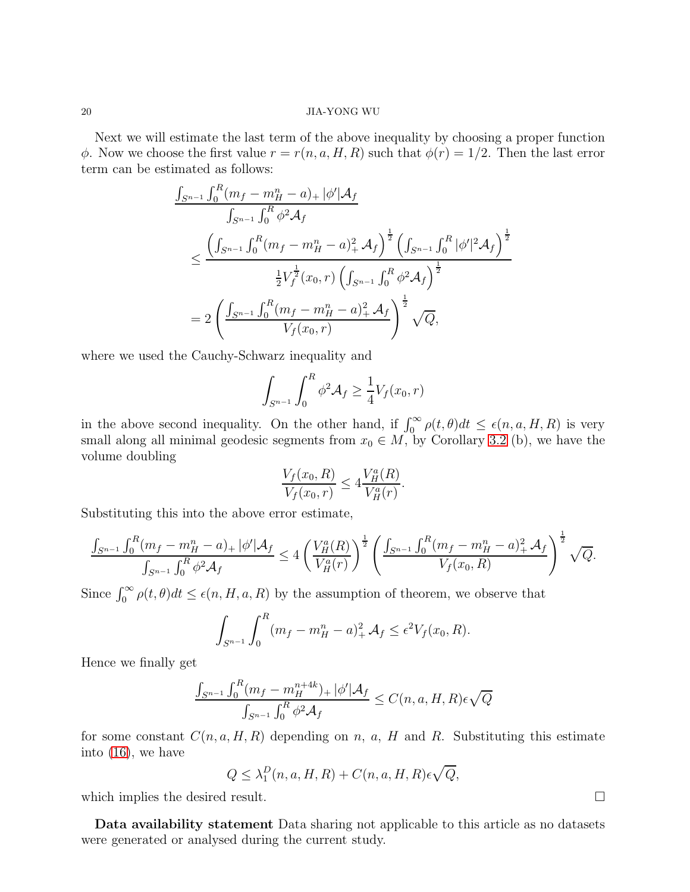Next we will estimate the last term of the above inequality by choosing a proper function  $\phi$ . Now we choose the first value  $r = r(n, a, H, R)$  such that  $\phi(r) = 1/2$ . Then the last error term can be estimated as follows:

$$
\frac{\int_{S^{n-1}} \int_0^R (m_f - m_H^n - a)_+ |\phi'| \mathcal{A}_f}{\int_{S^{n-1}} \int_0^R \phi^2 \mathcal{A}_f}
$$
\n
$$
\leq \frac{\left(\int_{S^{n-1}} \int_0^R (m_f - m_H^n - a)_+^2 \mathcal{A}_f\right)^{\frac{1}{2}} \left(\int_{S^{n-1}} \int_0^R |\phi'|^2 \mathcal{A}_f\right)^{\frac{1}{2}}}{\frac{1}{2} V_f^{\frac{1}{2}}(x_0, r) \left(\int_{S^{n-1}} \int_0^R \phi^2 \mathcal{A}_f\right)^{\frac{1}{2}}}
$$
\n
$$
= 2 \left(\frac{\int_{S^{n-1}} \int_0^R (m_f - m_H^n - a)_+^2 \mathcal{A}_f}{V_f(x_0, r)}\right)^{\frac{1}{2}} \sqrt{Q},
$$

where we used the Cauchy-Schwarz inequality and

$$
\int_{S^{n-1}} \int_0^R \phi^2 \mathcal{A}_f \ge \frac{1}{4} V_f(x_0, r)
$$

in the above second inequality. On the other hand, if  $\int_0^\infty \rho(t,\theta) dt \leq \epsilon(n,a,H,R)$  is very small along all minimal geodesic segments from  $x_0 \in M$ , by Corollary [3.2](#page-11-1) (b), we have the volume doubling

$$
\frac{V_f(x_0, R)}{V_f(x_0, r)} \le 4 \frac{V_H^a(R)}{V_H^a(r)}.
$$

Substituting this into the above error estimate,

$$
\frac{\int_{S^{n-1}} \int_0^R (m_f - m_H^n - a)_+ |\phi'| \mathcal{A}_f}{\int_{S^{n-1}} \int_0^R \phi^2 \mathcal{A}_f} \le 4 \left( \frac{V_H^a(R)}{V_H^a(r)} \right)^{\frac{1}{2}} \left( \frac{\int_{S^{n-1}} \int_0^R (m_f - m_H^n - a)_+^2 \mathcal{A}_f}{V_f(x_0, R)} \right)^{\frac{1}{2}} \sqrt{Q}.
$$

Since  $\int_0^\infty \rho(t,\theta)dt \leq \epsilon(n, H, a, R)$  by the assumption of theorem, we observe that

$$
\int_{S^{n-1}} \int_0^R (m_f - m_H^n - a)_+^2 \mathcal{A}_f \le \epsilon^2 V_f(x_0, R).
$$

Hence we finally get

$$
\frac{\int_{S^{n-1}} \int_0^R (m_f - m_H^{n+4k})_+ |\phi'| \mathcal{A}_f}{\int_{S^{n-1}} \int_0^R \phi^2 \mathcal{A}_f} \le C(n, a, H, R) \epsilon \sqrt{Q}
$$

for some constant  $C(n, a, H, R)$  depending on n, a, H and R. Substituting this estimate into [\(16\)](#page-18-1), we have

$$
Q \leq \lambda_1^D(n, a, H, R) + C(n, a, H, R)\epsilon \sqrt{Q},
$$

which implies the desired result.

Data availability statement Data sharing not applicable to this article as no datasets were generated or analysed during the current study.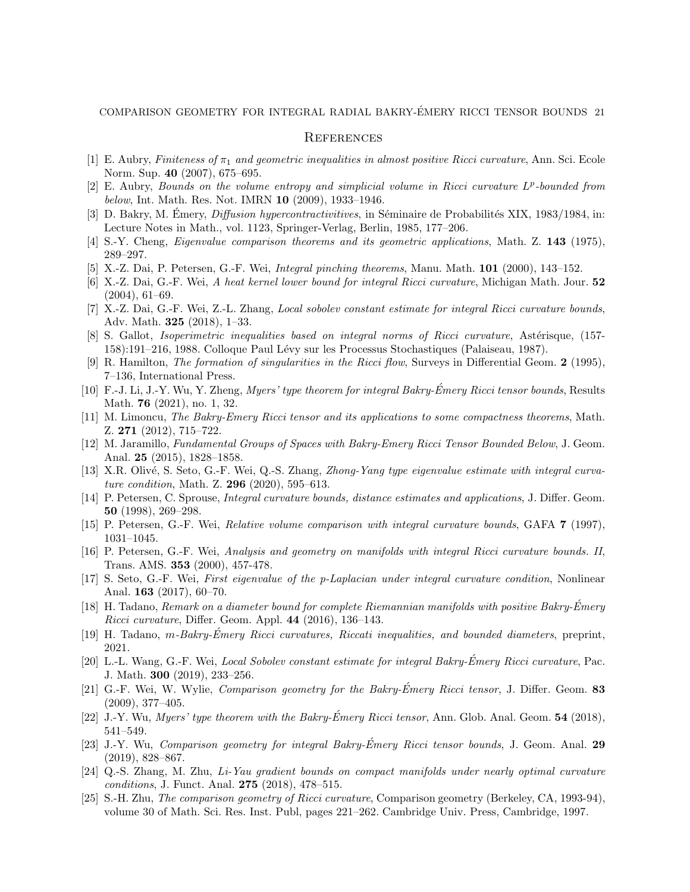## **REFERENCES**

- [1] E. Aubry, Finiteness of  $\pi_1$  and geometric inequalities in almost positive Ricci curvature, Ann. Sci. Ecole Norm. Sup. 40 (2007), 675–695.
- [2] E. Aubry, Bounds on the volume entropy and simplicial volume in Ricci curvature  $L^p$ -bounded from below, Int. Math. Res. Not. IMRN 10 (2009), 1933–1946.
- [3] D. Bakry, M. Émery, *Diffusion hypercontractivitives*, in Séminaire de Probabilités XIX, 1983/1984, in: Lecture Notes in Math., vol. 1123, Springer-Verlag, Berlin, 1985, 177–206.
- [4] S.-Y. Cheng, *Eigenvalue comparison theorems and its geometric applications*, Math. Z. 143 (1975), 289–297.
- [5] X.-Z. Dai, P. Petersen, G.-F. Wei, Integral pinching theorems, Manu. Math. 101 (2000), 143–152.
- [6] X.-Z. Dai, G.-F. Wei, A heat kernel lower bound for integral Ricci curvature, Michigan Math. Jour. 52 (2004), 61–69.
- [7] X.-Z. Dai, G.-F. Wei, Z.-L. Zhang, Local sobolev constant estimate for integral Ricci curvature bounds, Adv. Math. 325 (2018), 1–33.
- [8] S. Gallot, *Isoperimetric inequalities based on integral norms of Ricci curvature*, Astérisque, (157-158):191–216, 1988. Colloque Paul Lévy sur les Processus Stochastiques (Palaiseau, 1987).
- [9] R. Hamilton, *The formation of singularities in the Ricci flow*, Surveys in Differential Geom. 2 (1995), 7–136, International Press.
- [10] F.-J. Li, J.-Y. Wu, Y. Zheng, Myers' type theorem for integral Bakry-Émery Ricci tensor bounds, Results Math. 76 (2021), no. 1, 32.
- [11] M. Limoncu, The Bakry-Emery Ricci tensor and its applications to some compactness theorems, Math. Z. 271 (2012), 715–722.
- [12] M. Jaramillo, Fundamental Groups of Spaces with Bakry-Emery Ricci Tensor Bounded Below, J. Geom. Anal. 25 (2015), 1828–1858.
- [13] X.R. Olivé, S. Seto, G.-F. Wei, Q.-S. Zhang, Zhong-Yang type eigenvalue estimate with integral curvature condition, Math. Z. 296 (2020), 595–613.
- [14] P. Petersen, C. Sprouse, Integral curvature bounds, distance estimates and applications, J. Differ. Geom. 50 (1998), 269–298.
- <span id="page-20-0"></span>[15] P. Petersen, G.-F. Wei, Relative volume comparison with integral curvature bounds, GAFA 7 (1997), 1031–1045.
- [16] P. Petersen, G.-F. Wei, Analysis and geometry on manifolds with integral Ricci curvature bounds. II, Trans. AMS. 353 (2000), 457-478.
- <span id="page-20-1"></span>[17] S. Seto, G.-F. Wei, First eigenvalue of the p-Laplacian under integral curvature condition, Nonlinear Anal. 163 (2017), 60–70.
- <span id="page-20-3"></span>[18] H. Tadano, Remark on a diameter bound for complete Riemannian manifolds with positive Bakry-Émery Ricci curvature, Differ. Geom. Appl. 44 (2016), 136–143.
- <span id="page-20-2"></span> $[19]$  H. Tadano, m-Bakry-Émery Ricci curvatures, Riccati inequalities, and bounded diameters, preprint, 2021.
- [20] L.-L. Wang, G.-F. Wei, Local Sobolev constant estimate for integral Bakry-Émery Ricci curvature, Pac. J. Math. 300 (2019), 233–256.
- [21] G.-F. Wei, W. Wylie, *Comparison geometry for the Bakry-Émery Ricci tensor*, J. Differ. Geom. 83 (2009), 377–405.
- [22] J.-Y. Wu, Myers' type theorem with the Bakry-Émery Ricci tensor, Ann. Glob. Anal. Geom.  $54$  (2018), 541–549.
- [23] J.-Y. Wu, Comparison geometry for integral Bakry-Émery Ricci tensor bounds, J. Geom. Anal. 29 (2019), 828–867.
- [24] Q.-S. Zhang, M. Zhu, Li-Yau gradient bounds on compact manifolds under nearly optimal curvature conditions, J. Funct. Anal. 275 (2018), 478–515.
- [25] S.-H. Zhu, The comparison geometry of Ricci curvature, Comparison geometry (Berkeley, CA, 1993-94), volume 30 of Math. Sci. Res. Inst. Publ, pages 221–262. Cambridge Univ. Press, Cambridge, 1997.